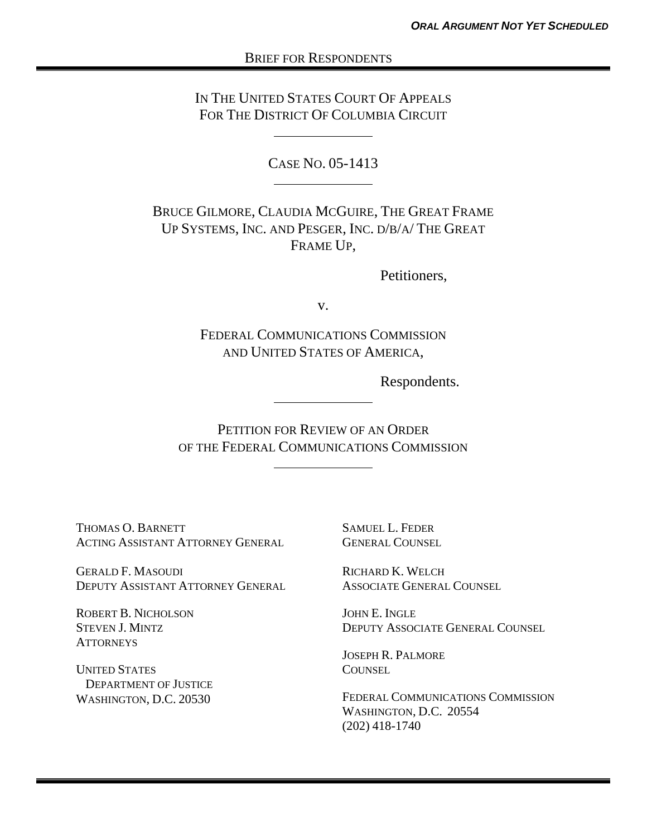IN THE UNITED STATES COURT OF APPEALS FOR THE DISTRICT OF COLUMBIA CIRCUIT

CASE NO. 05-1413

BRUCE GILMORE, CLAUDIA MCGUIRE, THE GREAT FRAME UP SYSTEMS, INC. AND PESGER, INC. D/B/A/ THE GREAT FRAME UP,

Petitioners,

v.

FEDERAL COMMUNICATIONS COMMISSION AND UNITED STATES OF AMERICA,

Respondents.

PETITION FOR REVIEW OF AN ORDER OF THE FEDERAL COMMUNICATIONS COMMISSION

THOMAS O. BARNETT ACTING ASSISTANT ATTORNEY GENERAL

GERALD F. MASOUDI DEPUTY ASSISTANT ATTORNEY GENERAL

ROBERT B. NICHOLSON STEVEN J. MINTZ **ATTORNEYS** 

UNITED STATES DEPARTMENT OF JUSTICE WASHINGTON, D.C. 20530

SAMUEL L. FEDER GENERAL COUNSEL

RICHARD K. WELCH ASSOCIATE GENERAL COUNSEL

JOHN E. INGLE DEPUTY ASSOCIATE GENERAL COUNSEL

JOSEPH R. PALMORE COUNSEL

FEDERAL COMMUNICATIONS COMMISSION WASHINGTON, D.C. 20554 (202) 418-1740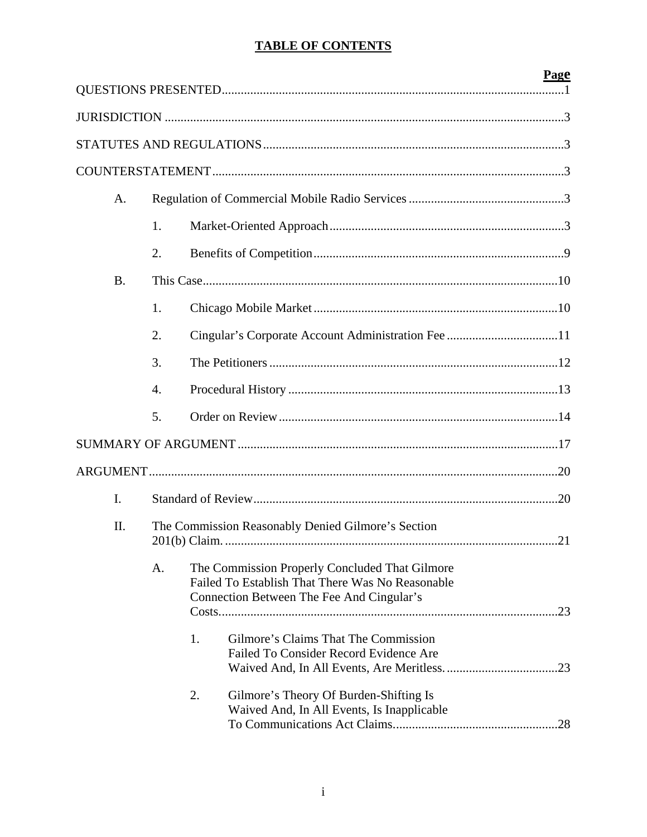## **TABLE OF CONTENTS**

|           |    |    |                                                                                                    | <b>Page</b> |
|-----------|----|----|----------------------------------------------------------------------------------------------------|-------------|
|           |    |    |                                                                                                    |             |
|           |    |    |                                                                                                    |             |
|           |    |    |                                                                                                    |             |
|           |    |    |                                                                                                    |             |
| A.        |    |    |                                                                                                    |             |
|           | 1. |    |                                                                                                    |             |
|           | 2. |    |                                                                                                    |             |
| <b>B.</b> |    |    |                                                                                                    |             |
|           | 1. |    |                                                                                                    |             |
|           | 2. |    |                                                                                                    |             |
|           | 3. |    |                                                                                                    |             |
|           | 4. |    |                                                                                                    |             |
|           | 5. |    |                                                                                                    |             |
|           |    |    |                                                                                                    |             |
|           |    |    |                                                                                                    |             |
|           |    |    |                                                                                                    |             |
| I.        |    |    |                                                                                                    |             |
| II.       |    |    | The Commission Reasonably Denied Gilmore's Section                                                 |             |
|           |    |    |                                                                                                    |             |
|           | A. |    | The Commission Properly Concluded That Gilmore<br>Failed To Establish That There Was No Reasonable |             |
|           |    |    | Connection Between The Fee And Cingular's                                                          |             |
|           |    |    |                                                                                                    |             |
|           |    | 1. | Gilmore's Claims That The Commission                                                               |             |
|           |    |    | Failed To Consider Record Evidence Are                                                             |             |
|           |    |    |                                                                                                    |             |
|           |    | 2. | Gilmore's Theory Of Burden-Shifting Is                                                             |             |
|           |    |    | Waived And, In All Events, Is Inapplicable                                                         |             |
|           |    |    |                                                                                                    |             |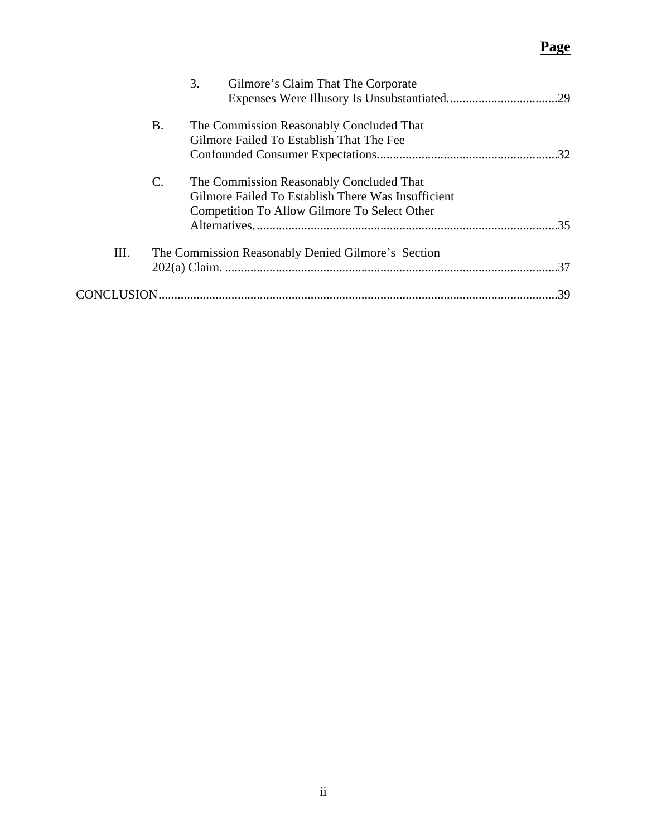# **Page**

|      |                 | 3.<br>Gilmore's Claim That The Corporate                                                                                                       |    |
|------|-----------------|------------------------------------------------------------------------------------------------------------------------------------------------|----|
|      | <b>B.</b>       | The Commission Reasonably Concluded That<br>Gilmore Failed To Establish That The Fee                                                           |    |
|      | $\mathcal{C}$ . | The Commission Reasonably Concluded That<br>Gilmore Failed To Establish There Was Insufficient<br>Competition To Allow Gilmore To Select Other | 35 |
| III. |                 | The Commission Reasonably Denied Gilmore's Section                                                                                             |    |
|      |                 |                                                                                                                                                | 39 |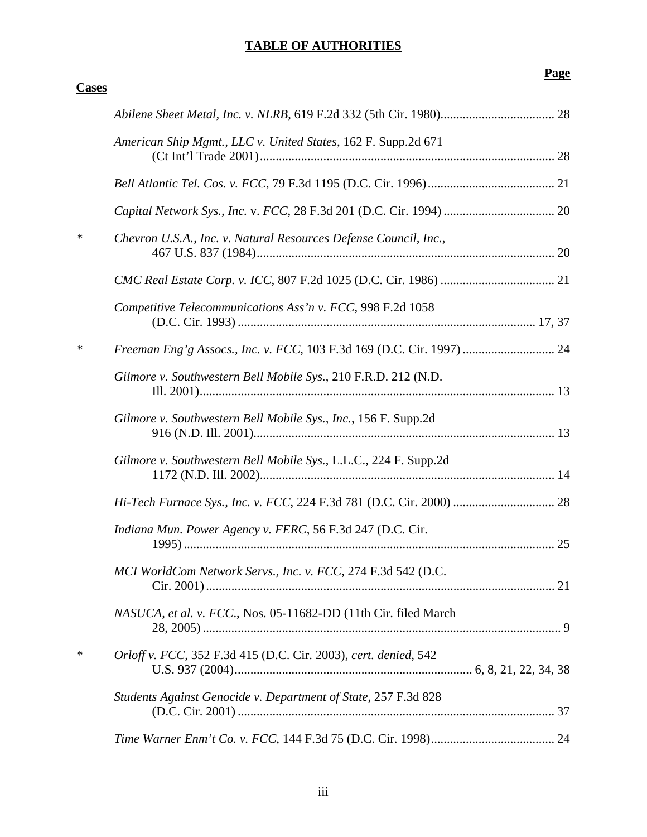## **TABLE OF AUTHORITIES**

**Cases**

## **Page**

|        | American Ship Mgmt., LLC v. United States, 162 F. Supp.2d 671    |  |
|--------|------------------------------------------------------------------|--|
|        |                                                                  |  |
|        |                                                                  |  |
| $\ast$ | Chevron U.S.A., Inc. v. Natural Resources Defense Council, Inc., |  |
|        |                                                                  |  |
|        | Competitive Telecommunications Ass'n v. FCC, 998 F.2d 1058       |  |
| ∗      |                                                                  |  |
|        | Gilmore v. Southwestern Bell Mobile Sys., 210 F.R.D. 212 (N.D.   |  |
|        | Gilmore v. Southwestern Bell Mobile Sys., Inc., 156 F. Supp.2d   |  |
|        | Gilmore v. Southwestern Bell Mobile Sys., L.L.C., 224 F. Supp.2d |  |
|        |                                                                  |  |
|        | Indiana Mun. Power Agency v. FERC, 56 F.3d 247 (D.C. Cir.        |  |
|        | MCI WorldCom Network Servs., Inc. v. FCC, 274 F.3d 542 (D.C.     |  |
|        | NASUCA, et al. v. FCC., Nos. 05-11682-DD (11th Cir. filed March  |  |
| ∗      | Orloff v. FCC, 352 F.3d 415 (D.C. Cir. 2003), cert. denied, 542  |  |
|        | Students Against Genocide v. Department of State, 257 F.3d 828   |  |
|        |                                                                  |  |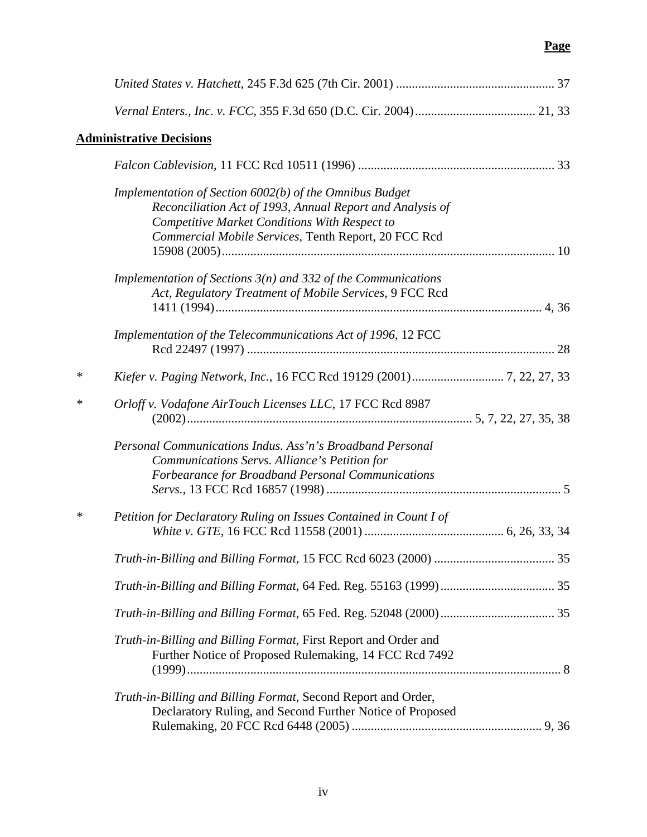## **Page**

|        | <b>Administrative Decisions</b>                                                                                                                                                                                                 |  |
|--------|---------------------------------------------------------------------------------------------------------------------------------------------------------------------------------------------------------------------------------|--|
|        |                                                                                                                                                                                                                                 |  |
|        | Implementation of Section $6002(b)$ of the Omnibus Budget<br>Reconciliation Act of 1993, Annual Report and Analysis of<br>Competitive Market Conditions With Respect to<br>Commercial Mobile Services, Tenth Report, 20 FCC Rcd |  |
|        | Implementation of Sections $3(n)$ and 332 of the Communications<br>Act, Regulatory Treatment of Mobile Services, 9 FCC Rcd                                                                                                      |  |
|        | Implementation of the Telecommunications Act of 1996, 12 FCC                                                                                                                                                                    |  |
| $\ast$ |                                                                                                                                                                                                                                 |  |
| ∗      | Orloff v. Vodafone AirTouch Licenses LLC, 17 FCC Rcd 8987                                                                                                                                                                       |  |
|        | Personal Communications Indus. Ass'n's Broadband Personal<br>Communications Servs. Alliance's Petition for<br>Forbearance for Broadband Personal Communications                                                                 |  |
| $\ast$ | Petition for Declaratory Ruling on Issues Contained in Count I of                                                                                                                                                               |  |
|        |                                                                                                                                                                                                                                 |  |
|        |                                                                                                                                                                                                                                 |  |
|        |                                                                                                                                                                                                                                 |  |
|        | Truth-in-Billing and Billing Format, First Report and Order and<br>Further Notice of Proposed Rulemaking, 14 FCC Rcd 7492                                                                                                       |  |
|        | Truth-in-Billing and Billing Format, Second Report and Order,<br>Declaratory Ruling, and Second Further Notice of Proposed                                                                                                      |  |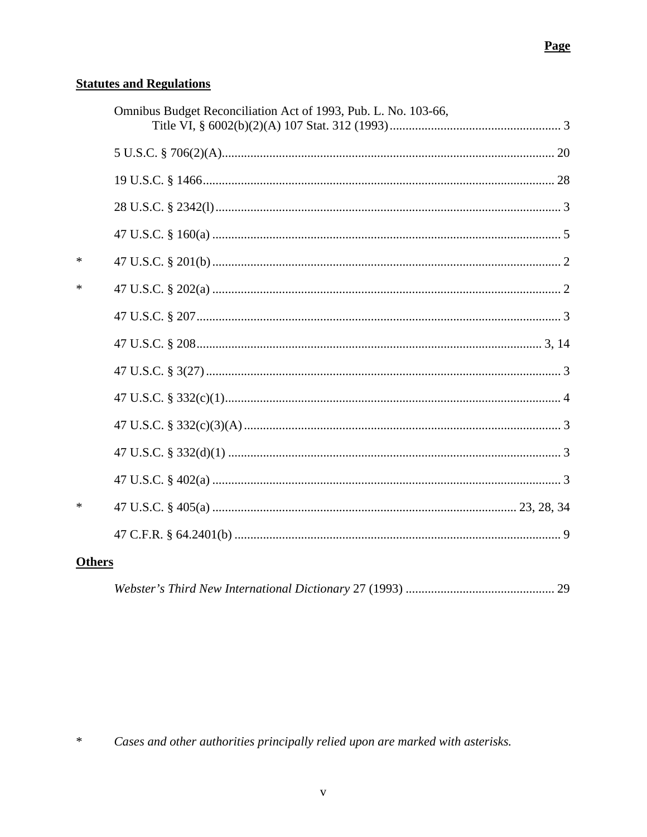## **Statutes and Regulations**

|               | Omnibus Budget Reconciliation Act of 1993, Pub. L. No. 103-66, |
|---------------|----------------------------------------------------------------|
|               |                                                                |
|               |                                                                |
|               |                                                                |
|               |                                                                |
| $\ast$        |                                                                |
| $\ast$        |                                                                |
|               |                                                                |
|               |                                                                |
|               |                                                                |
|               |                                                                |
|               |                                                                |
|               |                                                                |
|               |                                                                |
| $*$           |                                                                |
|               |                                                                |
| <b>Others</b> |                                                                |

Cases and other authorities principally relied upon are marked with asterisks.  $\ast$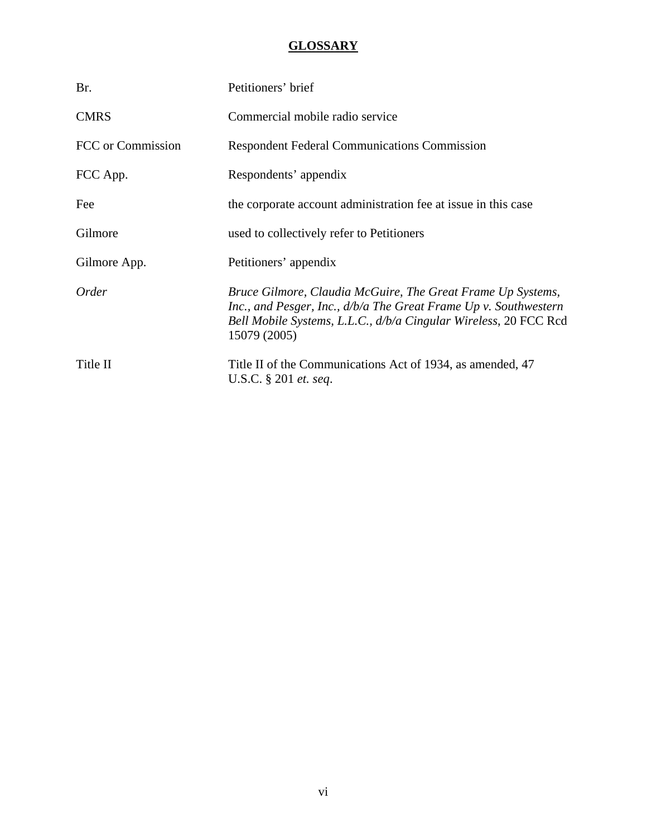## **GLOSSARY**

| Br.               | Petitioners' brief                                                                                                                                                                                                  |
|-------------------|---------------------------------------------------------------------------------------------------------------------------------------------------------------------------------------------------------------------|
| <b>CMRS</b>       | Commercial mobile radio service                                                                                                                                                                                     |
| FCC or Commission | <b>Respondent Federal Communications Commission</b>                                                                                                                                                                 |
| FCC App.          | Respondents' appendix                                                                                                                                                                                               |
| Fee               | the corporate account administration fee at issue in this case                                                                                                                                                      |
| Gilmore           | used to collectively refer to Petitioners                                                                                                                                                                           |
| Gilmore App.      | Petitioners' appendix                                                                                                                                                                                               |
| Order             | Bruce Gilmore, Claudia McGuire, The Great Frame Up Systems,<br>Inc., and Pesger, Inc., d/b/a The Great Frame Up v. Southwestern<br>Bell Mobile Systems, L.L.C., d/b/a Cingular Wireless, 20 FCC Rcd<br>15079 (2005) |
| Title II          | Title II of the Communications Act of 1934, as amended, 47<br>U.S.C. § 201 et. seq.                                                                                                                                 |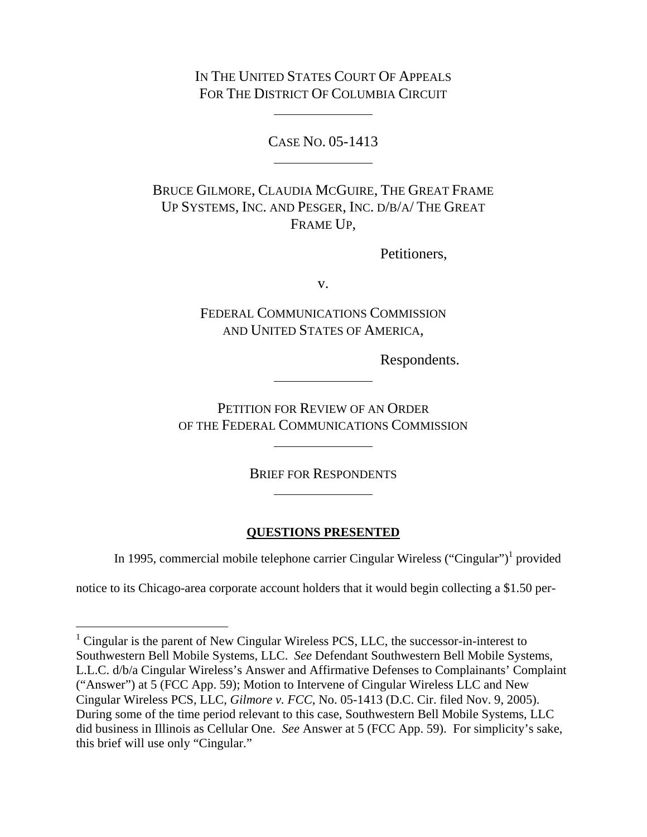IN THE UNITED STATES COURT OF APPEALS FOR THE DISTRICT OF COLUMBIA CIRCUIT

CASE NO. 05-1413

BRUCE GILMORE, CLAUDIA MCGUIRE, THE GREAT FRAME UP SYSTEMS, INC. AND PESGER, INC. D/B/A/ THE GREAT FRAME UP,

Petitioners,

v.

FEDERAL COMMUNICATIONS COMMISSION AND UNITED STATES OF AMERICA,

Respondents.

PETITION FOR REVIEW OF AN ORDER OF THE FEDERAL COMMUNICATIONS COMMISSION

BRIEF FOR RESPONDENTS

## **QUESTIONS PRESENTED**

In 1995, commercial mobile telephone carrier Cingular Wireless ("Cingular")<sup>1</sup> provided

notice to its Chicago-area corporate account holders that it would begin collecting a \$1.50 per-

<sup>&</sup>lt;sup>1</sup> Cingular is the parent of New Cingular Wireless PCS, LLC, the successor-in-interest to Southwestern Bell Mobile Systems, LLC. *See* Defendant Southwestern Bell Mobile Systems, L.L.C. d/b/a Cingular Wireless's Answer and Affirmative Defenses to Complainants' Complaint ("Answer") at 5 (FCC App. 59); Motion to Intervene of Cingular Wireless LLC and New Cingular Wireless PCS, LLC, *Gilmore v. FCC*, No. 05-1413 (D.C. Cir. filed Nov. 9, 2005). During some of the time period relevant to this case, Southwestern Bell Mobile Systems, LLC did business in Illinois as Cellular One. *See* Answer at 5 (FCC App. 59). For simplicity's sake, this brief will use only "Cingular."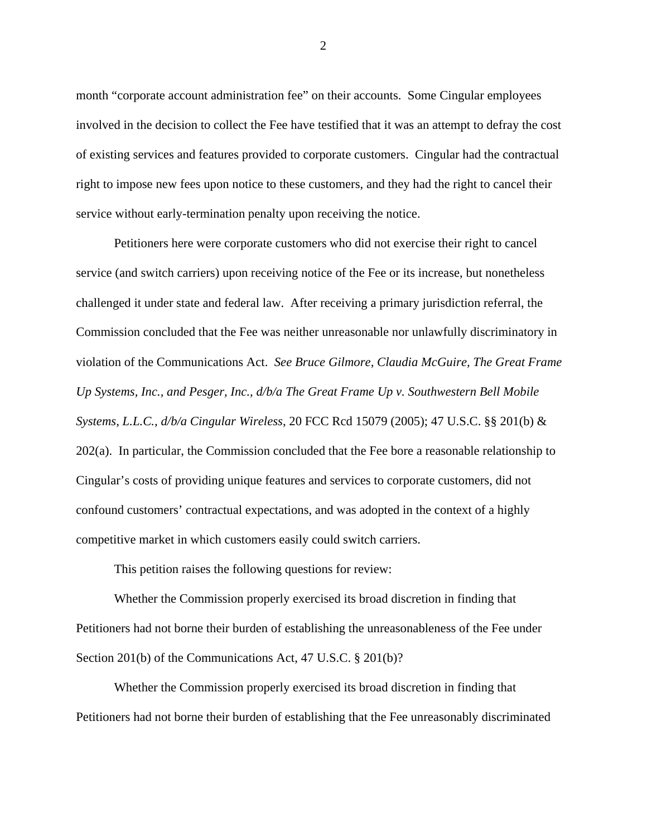month "corporate account administration fee" on their accounts. Some Cingular employees involved in the decision to collect the Fee have testified that it was an attempt to defray the cost of existing services and features provided to corporate customers. Cingular had the contractual right to impose new fees upon notice to these customers, and they had the right to cancel their service without early-termination penalty upon receiving the notice.

Petitioners here were corporate customers who did not exercise their right to cancel service (and switch carriers) upon receiving notice of the Fee or its increase, but nonetheless challenged it under state and federal law. After receiving a primary jurisdiction referral, the Commission concluded that the Fee was neither unreasonable nor unlawfully discriminatory in violation of the Communications Act. *See Bruce Gilmore, Claudia McGuire, The Great Frame Up Systems, Inc., and Pesger, Inc., d/b/a The Great Frame Up v. Southwestern Bell Mobile Systems, L.L.C., d/b/a Cingular Wireless*, 20 FCC Rcd 15079 (2005); 47 U.S.C. §§ 201(b) & 202(a). In particular, the Commission concluded that the Fee bore a reasonable relationship to Cingular's costs of providing unique features and services to corporate customers, did not confound customers' contractual expectations, and was adopted in the context of a highly competitive market in which customers easily could switch carriers.

This petition raises the following questions for review:

Whether the Commission properly exercised its broad discretion in finding that Petitioners had not borne their burden of establishing the unreasonableness of the Fee under Section 201(b) of the Communications Act, 47 U.S.C. § 201(b)?

Whether the Commission properly exercised its broad discretion in finding that Petitioners had not borne their burden of establishing that the Fee unreasonably discriminated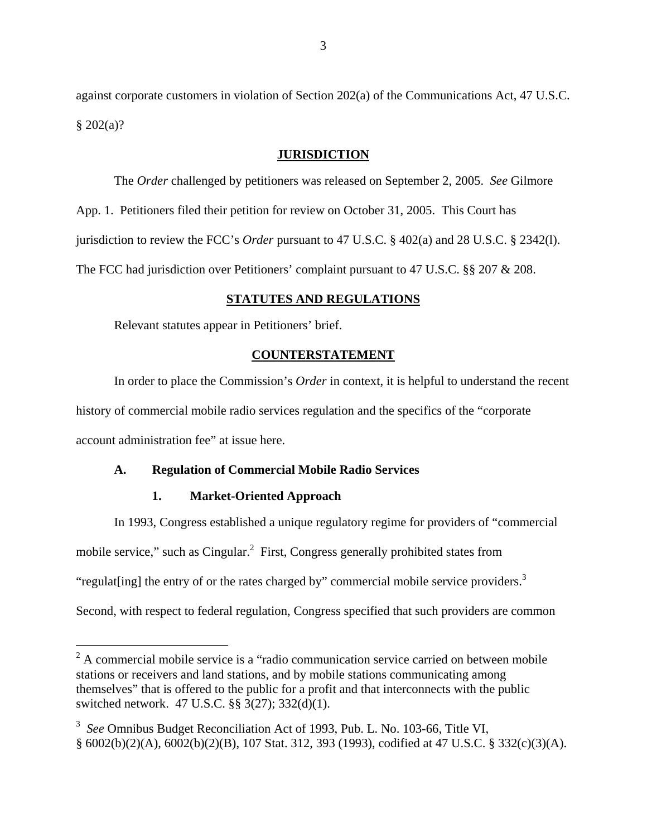against corporate customers in violation of Section 202(a) of the Communications Act, 47 U.S.C.  $$202(a)?$ 

#### **JURISDICTION**

The *Order* challenged by petitioners was released on September 2, 2005. *See* Gilmore App. 1. Petitioners filed their petition for review on October 31, 2005. This Court has jurisdiction to review the FCC's *Order* pursuant to 47 U.S.C. § 402(a) and 28 U.S.C. § 2342(l). The FCC had jurisdiction over Petitioners' complaint pursuant to 47 U.S.C. §§ 207 & 208.

## **STATUTES AND REGULATIONS**

Relevant statutes appear in Petitioners' brief.

## **COUNTERSTATEMENT**

In order to place the Commission's *Order* in context, it is helpful to understand the recent history of commercial mobile radio services regulation and the specifics of the "corporate account administration fee" at issue here.

#### **A. Regulation of Commercial Mobile Radio Services**

## **1. Market-Oriented Approach**

In 1993, Congress established a unique regulatory regime for providers of "commercial mobile service," such as  $Cingular$ <sup>2</sup> First, Congress generally prohibited states from "regulat[ing] the entry of or the rates charged by" commercial mobile service providers.<sup>3</sup> Second, with respect to federal regulation, Congress specified that such providers are common

<sup>&</sup>lt;sup>2</sup> A commercial mobile service is a "radio communication service carried on between mobile stations or receivers and land stations, and by mobile stations communicating among themselves" that is offered to the public for a profit and that interconnects with the public switched network. 47 U.S.C. §§ 3(27); 332(d)(1).

<sup>3</sup> *See* Omnibus Budget Reconciliation Act of 1993, Pub. L. No. 103-66, Title VI, § 6002(b)(2)(A), 6002(b)(2)(B), 107 Stat. 312, 393 (1993), codified at 47 U.S.C. § 332(c)(3)(A).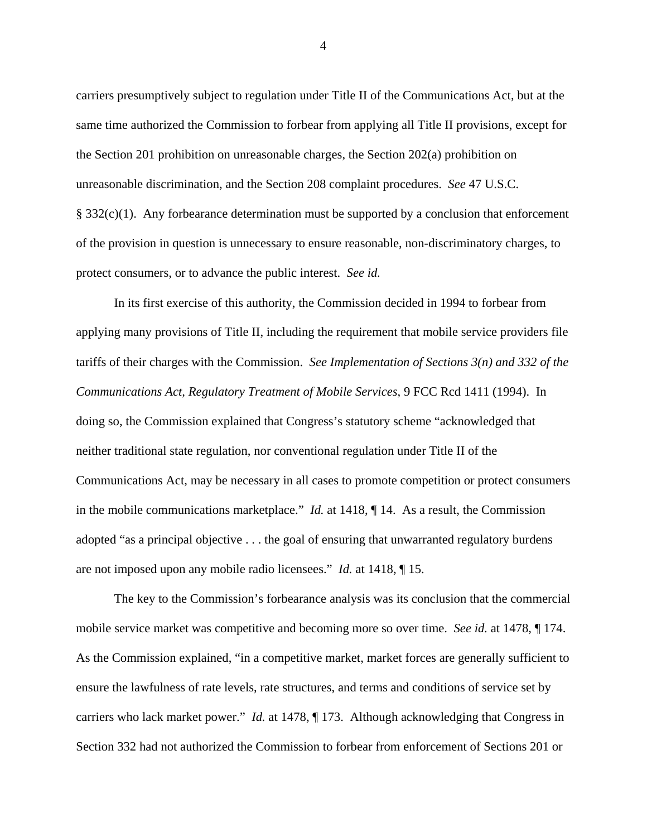carriers presumptively subject to regulation under Title II of the Communications Act, but at the same time authorized the Commission to forbear from applying all Title II provisions, except for the Section 201 prohibition on unreasonable charges, the Section 202(a) prohibition on unreasonable discrimination, and the Section 208 complaint procedures. *See* 47 U.S.C.  $§$  332(c)(1). Any forbearance determination must be supported by a conclusion that enforcement of the provision in question is unnecessary to ensure reasonable, non-discriminatory charges, to protect consumers, or to advance the public interest. *See id.*

In its first exercise of this authority, the Commission decided in 1994 to forbear from applying many provisions of Title II, including the requirement that mobile service providers file tariffs of their charges with the Commission. *See Implementation of Sections 3(n) and 332 of the Communications Act, Regulatory Treatment of Mobile Services*, 9 FCC Rcd 1411 (1994). In doing so, the Commission explained that Congress's statutory scheme "acknowledged that neither traditional state regulation, nor conventional regulation under Title II of the Communications Act, may be necessary in all cases to promote competition or protect consumers in the mobile communications marketplace." *Id.* at 1418, ¶ 14. As a result, the Commission adopted "as a principal objective . . . the goal of ensuring that unwarranted regulatory burdens are not imposed upon any mobile radio licensees." *Id.* at 1418, ¶ 15.

The key to the Commission's forbearance analysis was its conclusion that the commercial mobile service market was competitive and becoming more so over time. *See id.* at 1478, ¶ 174. As the Commission explained, "in a competitive market, market forces are generally sufficient to ensure the lawfulness of rate levels, rate structures, and terms and conditions of service set by carriers who lack market power." *Id.* at 1478, ¶ 173. Although acknowledging that Congress in Section 332 had not authorized the Commission to forbear from enforcement of Sections 201 or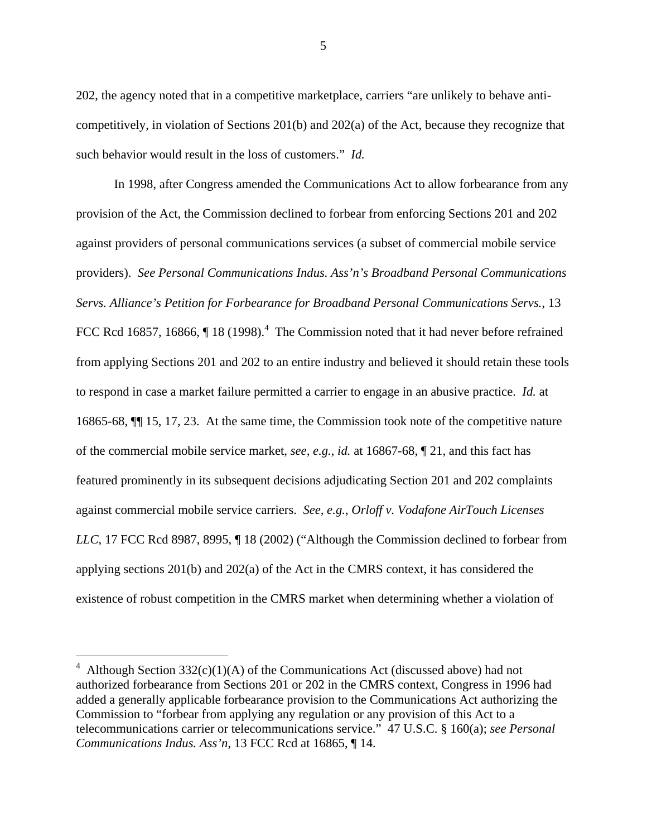202, the agency noted that in a competitive marketplace, carriers "are unlikely to behave anticompetitively, in violation of Sections 201(b) and 202(a) of the Act, because they recognize that such behavior would result in the loss of customers." *Id.*

In 1998, after Congress amended the Communications Act to allow forbearance from any provision of the Act, the Commission declined to forbear from enforcing Sections 201 and 202 against providers of personal communications services (a subset of commercial mobile service providers). *See Personal Communications Indus. Ass'n's Broadband Personal Communications Servs. Alliance's Petition for Forbearance for Broadband Personal Communications Servs.*, 13 FCC Rcd 16857, 16866,  $\P$  18 (1998).<sup>4</sup> The Commission noted that it had never before refrained from applying Sections 201 and 202 to an entire industry and believed it should retain these tools to respond in case a market failure permitted a carrier to engage in an abusive practice. *Id.* at 16865-68, ¶¶ 15, 17, 23. At the same time, the Commission took note of the competitive nature of the commercial mobile service market, *see, e.g.*, *id.* at 16867-68, ¶ 21, and this fact has featured prominently in its subsequent decisions adjudicating Section 201 and 202 complaints against commercial mobile service carriers. *See, e.g.*, *Orloff v. Vodafone AirTouch Licenses LLC*, 17 FCC Rcd 8987, 8995, ¶ 18 (2002) ("Although the Commission declined to forbear from applying sections 201(b) and 202(a) of the Act in the CMRS context, it has considered the existence of robust competition in the CMRS market when determining whether a violation of

<sup>&</sup>lt;sup>4</sup> Although Section 332(c)(1)(A) of the Communications Act (discussed above) had not authorized forbearance from Sections 201 or 202 in the CMRS context, Congress in 1996 had added a generally applicable forbearance provision to the Communications Act authorizing the Commission to "forbear from applying any regulation or any provision of this Act to a telecommunications carrier or telecommunications service." 47 U.S.C. § 160(a); *see Personal Communications Indus. Ass'n*, 13 FCC Rcd at 16865, ¶ 14.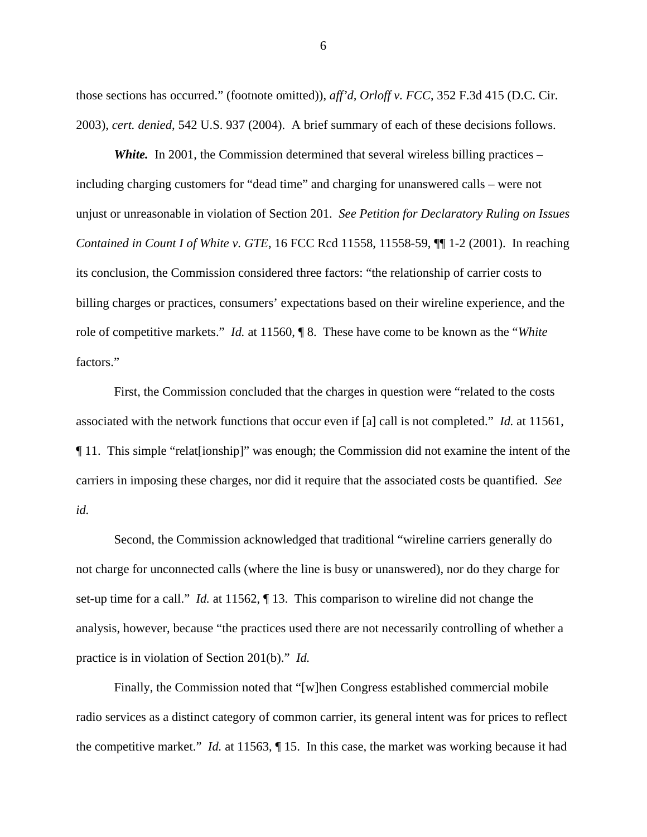those sections has occurred." (footnote omitted)), *aff'd, Orloff v. FCC*, 352 F.3d 415 (D.C. Cir. 2003), *cert. denied*, 542 U.S. 937 (2004). A brief summary of each of these decisions follows.

*White.* In 2001, the Commission determined that several wireless billing practices – including charging customers for "dead time" and charging for unanswered calls – were not unjust or unreasonable in violation of Section 201. *See Petition for Declaratory Ruling on Issues Contained in Count I of White v. GTE*, 16 FCC Rcd 11558, 11558-59, ¶¶ 1-2 (2001). In reaching its conclusion, the Commission considered three factors: "the relationship of carrier costs to billing charges or practices, consumers' expectations based on their wireline experience, and the role of competitive markets." *Id.* at 11560, ¶ 8. These have come to be known as the "*White* factors."

First, the Commission concluded that the charges in question were "related to the costs associated with the network functions that occur even if [a] call is not completed." *Id.* at 11561, ¶ 11. This simple "relat[ionship]" was enough; the Commission did not examine the intent of the carriers in imposing these charges, nor did it require that the associated costs be quantified. *See id.*

Second, the Commission acknowledged that traditional "wireline carriers generally do not charge for unconnected calls (where the line is busy or unanswered), nor do they charge for set-up time for a call." *Id.* at 11562, ¶ 13. This comparison to wireline did not change the analysis, however, because "the practices used there are not necessarily controlling of whether a practice is in violation of Section 201(b)." *Id.* 

Finally, the Commission noted that "[w]hen Congress established commercial mobile radio services as a distinct category of common carrier, its general intent was for prices to reflect the competitive market." *Id.* at 11563, ¶ 15. In this case, the market was working because it had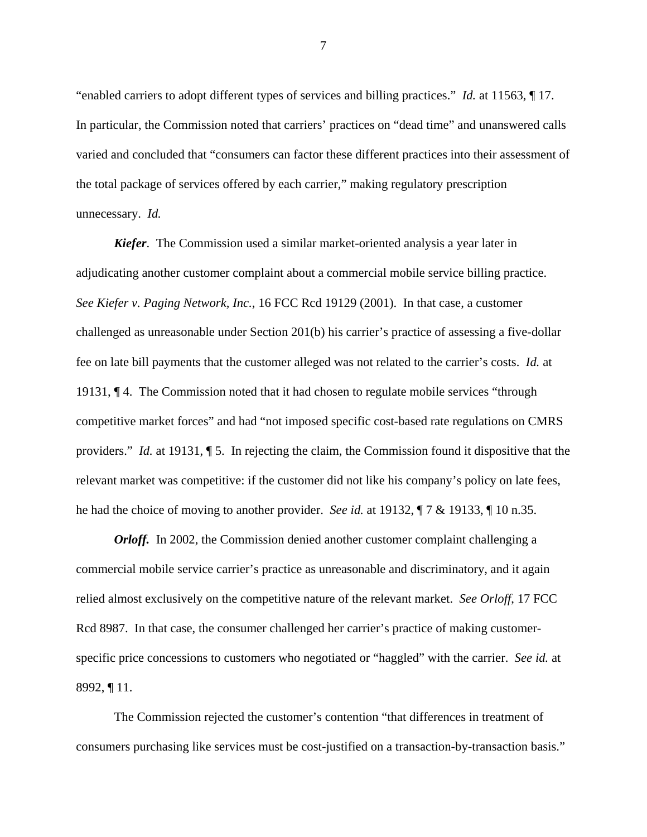"enabled carriers to adopt different types of services and billing practices." *Id.* at 11563, ¶ 17. In particular, the Commission noted that carriers' practices on "dead time" and unanswered calls varied and concluded that "consumers can factor these different practices into their assessment of the total package of services offered by each carrier," making regulatory prescription unnecessary. *Id.*

*Kiefer*. The Commission used a similar market-oriented analysis a year later in adjudicating another customer complaint about a commercial mobile service billing practice. *See Kiefer v. Paging Network, Inc.*, 16 FCC Rcd 19129 (2001). In that case, a customer challenged as unreasonable under Section 201(b) his carrier's practice of assessing a five-dollar fee on late bill payments that the customer alleged was not related to the carrier's costs. *Id.* at 19131, ¶ 4. The Commission noted that it had chosen to regulate mobile services "through competitive market forces" and had "not imposed specific cost-based rate regulations on CMRS providers." *Id.* at 19131, ¶ 5.In rejecting the claim, the Commission found it dispositive that the relevant market was competitive: if the customer did not like his company's policy on late fees, he had the choice of moving to another provider. *See id.* at 19132, ¶ 7 & 19133, ¶ 10 n.35.

*Orloff.* In 2002, the Commission denied another customer complaint challenging a commercial mobile service carrier's practice as unreasonable and discriminatory, and it again relied almost exclusively on the competitive nature of the relevant market. *See Orloff*, 17 FCC Rcd 8987. In that case, the consumer challenged her carrier's practice of making customerspecific price concessions to customers who negotiated or "haggled" with the carrier. *See id.* at 8992, ¶ 11.

The Commission rejected the customer's contention "that differences in treatment of consumers purchasing like services must be cost-justified on a transaction-by-transaction basis."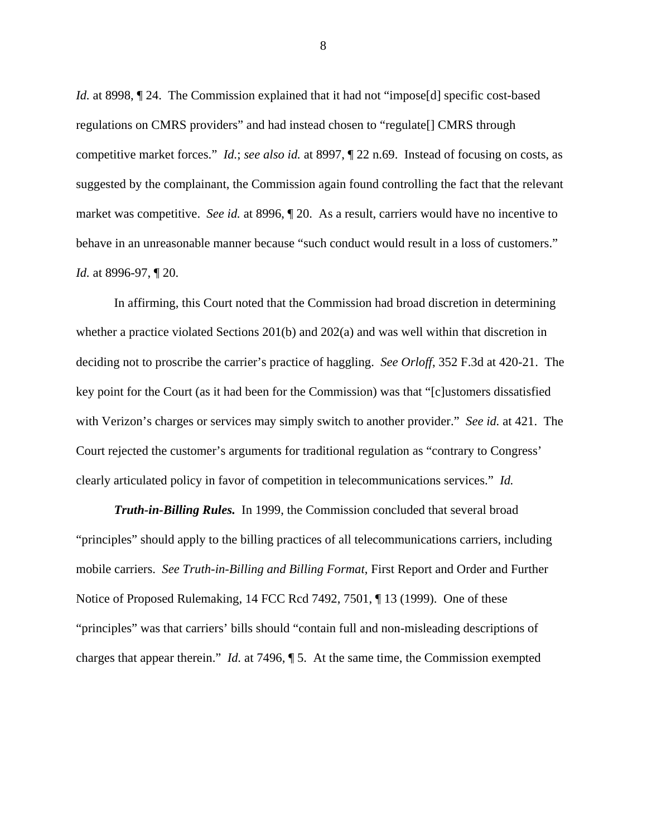*Id.* at 8998,  $\P$  24. The Commission explained that it had not "impose [d] specific cost-based regulations on CMRS providers" and had instead chosen to "regulate[] CMRS through competitive market forces." *Id.*; *see also id.* at 8997, ¶ 22 n.69. Instead of focusing on costs, as suggested by the complainant, the Commission again found controlling the fact that the relevant market was competitive. *See id.* at 8996, ¶ 20. As a result, carriers would have no incentive to behave in an unreasonable manner because "such conduct would result in a loss of customers." *Id.* at 8996-97, ¶ 20.

In affirming, this Court noted that the Commission had broad discretion in determining whether a practice violated Sections 201(b) and 202(a) and was well within that discretion in deciding not to proscribe the carrier's practice of haggling. *See Orloff*, 352 F.3d at 420-21. The key point for the Court (as it had been for the Commission) was that "[c]ustomers dissatisfied with Verizon's charges or services may simply switch to another provider." *See id.* at 421. The Court rejected the customer's arguments for traditional regulation as "contrary to Congress' clearly articulated policy in favor of competition in telecommunications services." *Id.*

*Truth-in-Billing Rules.* In 1999, the Commission concluded that several broad "principles" should apply to the billing practices of all telecommunications carriers, including mobile carriers. *See Truth-in-Billing and Billing Format*, First Report and Order and Further Notice of Proposed Rulemaking, 14 FCC Rcd 7492, 7501, ¶ 13 (1999). One of these "principles" was that carriers' bills should "contain full and non-misleading descriptions of charges that appear therein." *Id.* at 7496, ¶ 5. At the same time, the Commission exempted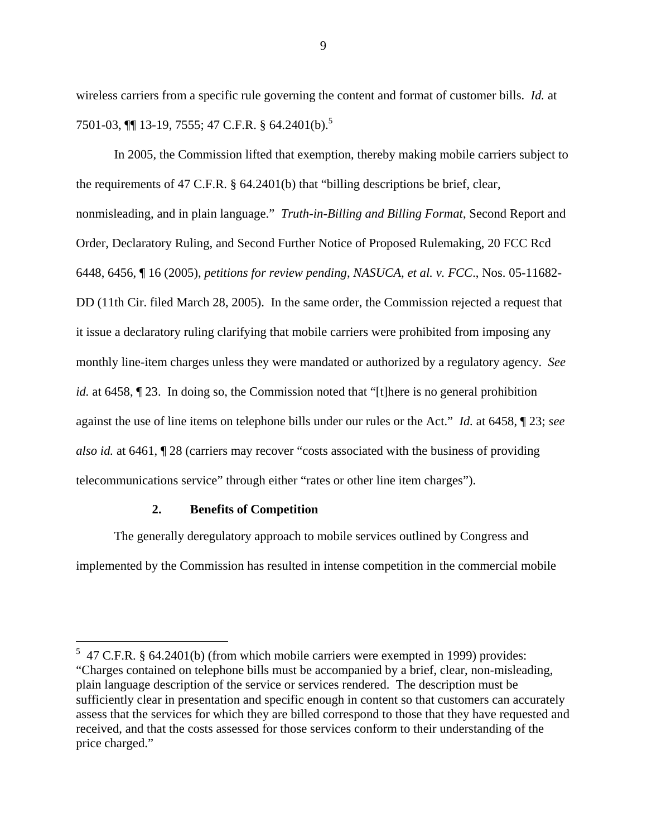wireless carriers from a specific rule governing the content and format of customer bills. *Id.* at 7501-03, ¶¶ 13-19, 7555; 47 C.F.R. § 64.2401(b).5

In 2005, the Commission lifted that exemption, thereby making mobile carriers subject to the requirements of 47 C.F.R. § 64.2401(b) that "billing descriptions be brief, clear, nonmisleading, and in plain language." *Truth-in-Billing and Billing Format*, Second Report and Order, Declaratory Ruling, and Second Further Notice of Proposed Rulemaking, 20 FCC Rcd 6448, 6456, ¶ 16 (2005), *petitions for review pending*, *NASUCA, et al. v. FCC*., Nos. 05-11682- DD (11th Cir. filed March 28, 2005). In the same order, the Commission rejected a request that it issue a declaratory ruling clarifying that mobile carriers were prohibited from imposing any monthly line-item charges unless they were mandated or authorized by a regulatory agency. *See id.* at 6458,  $\parallel$  23. In doing so, the Commission noted that "[t]here is no general prohibition against the use of line items on telephone bills under our rules or the Act." *Id.* at 6458, ¶ 23; *see also id.* at 6461, ¶ 28 (carriers may recover "costs associated with the business of providing telecommunications service" through either "rates or other line item charges").

#### **2. Benefits of Competition**

The generally deregulatory approach to mobile services outlined by Congress and implemented by the Commission has resulted in intense competition in the commercial mobile

 5 47 C.F.R. § 64.2401(b) (from which mobile carriers were exempted in 1999) provides: "Charges contained on telephone bills must be accompanied by a brief, clear, non-misleading, plain language description of the service or services rendered. The description must be sufficiently clear in presentation and specific enough in content so that customers can accurately assess that the services for which they are billed correspond to those that they have requested and received, and that the costs assessed for those services conform to their understanding of the price charged."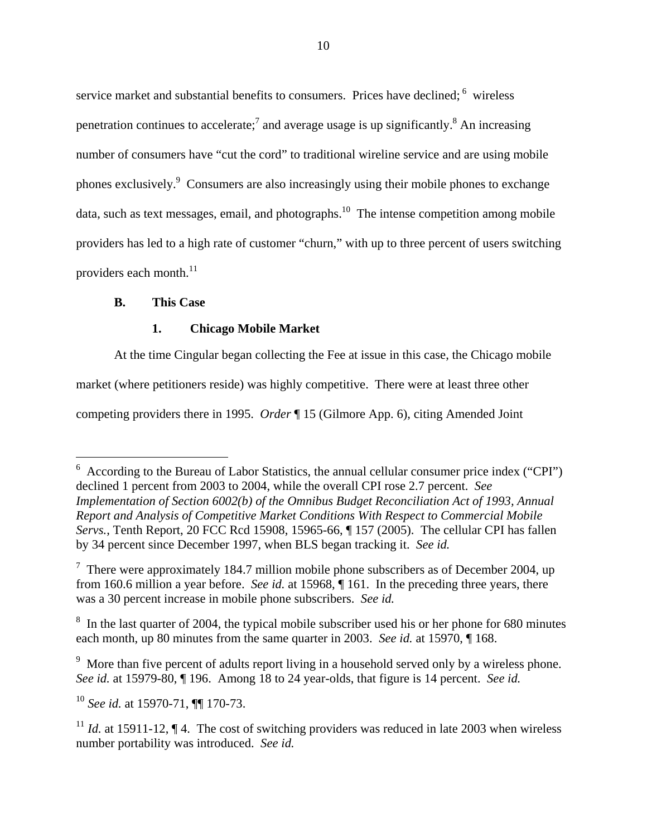service market and substantial benefits to consumers. Prices have declined; <sup>6</sup> wireless penetration continues to accelerate;<sup>7</sup> and average usage is up significantly.<sup>8</sup> An increasing number of consumers have "cut the cord" to traditional wireline service and are using mobile phones exclusively.<sup>9</sup> Consumers are also increasingly using their mobile phones to exchange data, such as text messages, email, and photographs.<sup>10</sup> The intense competition among mobile providers has led to a high rate of customer "churn," with up to three percent of users switching providers each month. $^{11}$ 

## **B. This Case**

## **1. Chicago Mobile Market**

At the time Cingular began collecting the Fee at issue in this case, the Chicago mobile market (where petitioners reside) was highly competitive. There were at least three other competing providers there in 1995. *Order* ¶ 15 (Gilmore App. 6), citing Amended Joint

<sup>&</sup>lt;sup>6</sup> According to the Bureau of Labor Statistics, the annual cellular consumer price index ("CPI") declined 1 percent from 2003 to 2004, while the overall CPI rose 2.7 percent. *See Implementation of Section 6002(b) of the Omnibus Budget Reconciliation Act of 1993, Annual Report and Analysis of Competitive Market Conditions With Respect to Commercial Mobile Servs.*, Tenth Report, 20 FCC Rcd 15908, 15965-66, ¶ 157 (2005). The cellular CPI has fallen by 34 percent since December 1997, when BLS began tracking it. *See id.*

<sup>&</sup>lt;sup>7</sup> There were approximately 184.7 million mobile phone subscribers as of December 2004, up from 160.6 million a year before. *See id.* at 15968, ¶ 161. In the preceding three years, there was a 30 percent increase in mobile phone subscribers. *See id.*

 $8\,$  In the last quarter of 2004, the typical mobile subscriber used his or her phone for 680 minutes each month, up 80 minutes from the same quarter in 2003. *See id.* at 15970, ¶ 168.

 $9\,$  More than five percent of adults report living in a household served only by a wireless phone. *See id.* at 15979-80, ¶ 196. Among 18 to 24 year-olds, that figure is 14 percent. *See id.*

<sup>10</sup> *See id.* at 15970-71, ¶¶ 170-73.

<sup>&</sup>lt;sup>11</sup> *Id.* at 15911-12,  $\P$ 4. The cost of switching providers was reduced in late 2003 when wireless number portability was introduced. *See id.*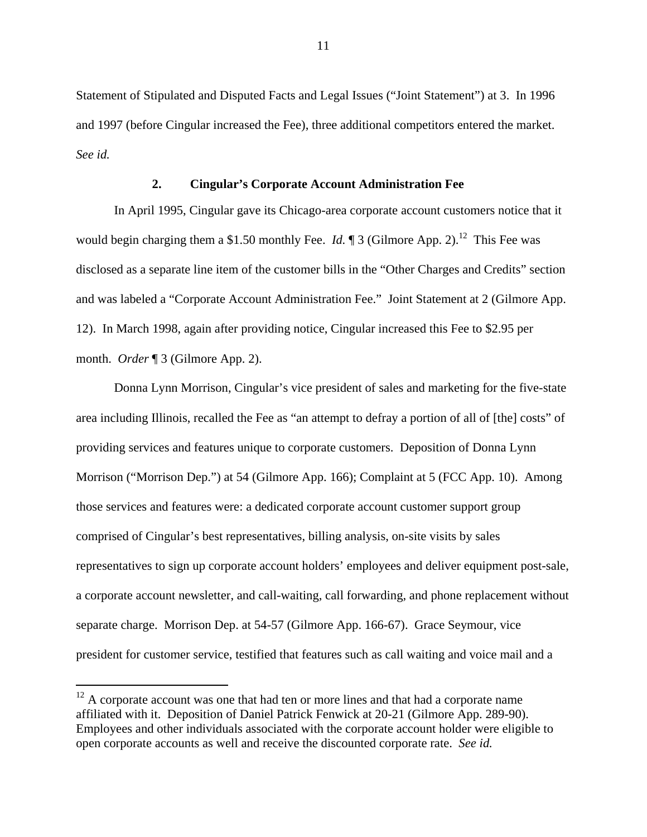Statement of Stipulated and Disputed Facts and Legal Issues ("Joint Statement") at 3. In 1996 and 1997 (before Cingular increased the Fee), three additional competitors entered the market. *See id.*

#### **2. Cingular's Corporate Account Administration Fee**

In April 1995, Cingular gave its Chicago-area corporate account customers notice that it would begin charging them a \$1.50 monthly Fee. *Id.*  $\mathbb{I}$  3 (Gilmore App. 2).<sup>12</sup> This Fee was disclosed as a separate line item of the customer bills in the "Other Charges and Credits" section and was labeled a "Corporate Account Administration Fee." Joint Statement at 2 (Gilmore App. 12). In March 1998, again after providing notice, Cingular increased this Fee to \$2.95 per month. *Order* ¶ 3 (Gilmore App. 2).

Donna Lynn Morrison, Cingular's vice president of sales and marketing for the five-state area including Illinois, recalled the Fee as "an attempt to defray a portion of all of [the] costs" of providing services and features unique to corporate customers. Deposition of Donna Lynn Morrison ("Morrison Dep.") at 54 (Gilmore App. 166); Complaint at 5 (FCC App. 10). Among those services and features were: a dedicated corporate account customer support group comprised of Cingular's best representatives, billing analysis, on-site visits by sales representatives to sign up corporate account holders' employees and deliver equipment post-sale, a corporate account newsletter, and call-waiting, call forwarding, and phone replacement without separate charge. Morrison Dep. at 54-57 (Gilmore App. 166-67). Grace Seymour, vice president for customer service, testified that features such as call waiting and voice mail and a

 $12$  A corporate account was one that had ten or more lines and that had a corporate name affiliated with it. Deposition of Daniel Patrick Fenwick at 20-21 (Gilmore App. 289-90). Employees and other individuals associated with the corporate account holder were eligible to open corporate accounts as well and receive the discounted corporate rate. *See id.*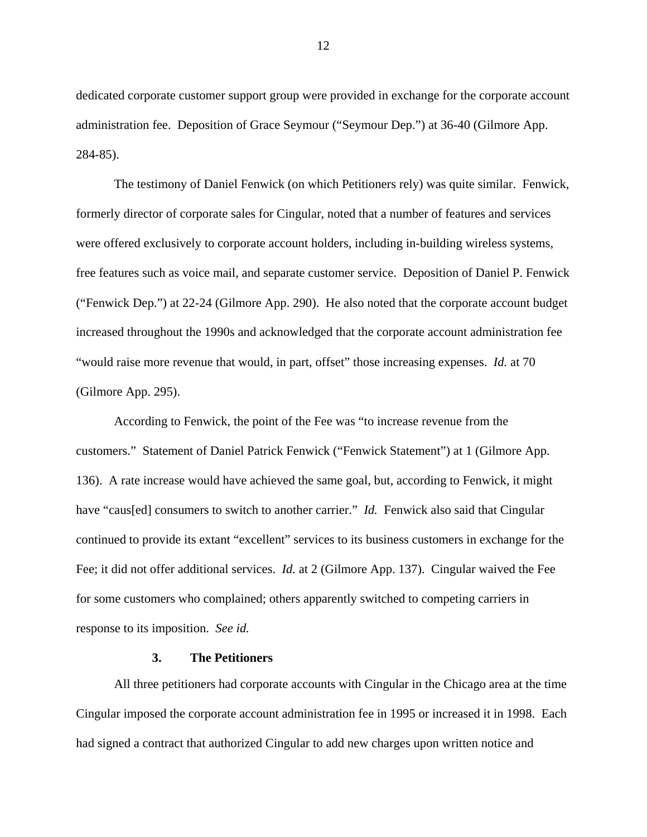dedicated corporate customer support group were provided in exchange for the corporate account administration fee. Deposition of Grace Seymour ("Seymour Dep.") at 36-40 (Gilmore App. 284-85).

The testimony of Daniel Fenwick (on which Petitioners rely) was quite similar. Fenwick, formerly director of corporate sales for Cingular, noted that a number of features and services were offered exclusively to corporate account holders, including in-building wireless systems, free features such as voice mail, and separate customer service. Deposition of Daniel P. Fenwick ("Fenwick Dep.") at 22-24 (Gilmore App. 290). He also noted that the corporate account budget increased throughout the 1990s and acknowledged that the corporate account administration fee "would raise more revenue that would, in part, offset" those increasing expenses. *Id.* at 70 (Gilmore App. 295).

According to Fenwick, the point of the Fee was "to increase revenue from the customers." Statement of Daniel Patrick Fenwick ("Fenwick Statement") at 1 (Gilmore App. 136). A rate increase would have achieved the same goal, but, according to Fenwick, it might have "caus[ed] consumers to switch to another carrier." *Id.* Fenwick also said that Cingular continued to provide its extant "excellent" services to its business customers in exchange for the Fee; it did not offer additional services. *Id.* at 2 (Gilmore App. 137). Cingular waived the Fee for some customers who complained; others apparently switched to competing carriers in response to its imposition. *See id.*

#### **3. The Petitioners**

All three petitioners had corporate accounts with Cingular in the Chicago area at the time Cingular imposed the corporate account administration fee in 1995 or increased it in 1998. Each had signed a contract that authorized Cingular to add new charges upon written notice and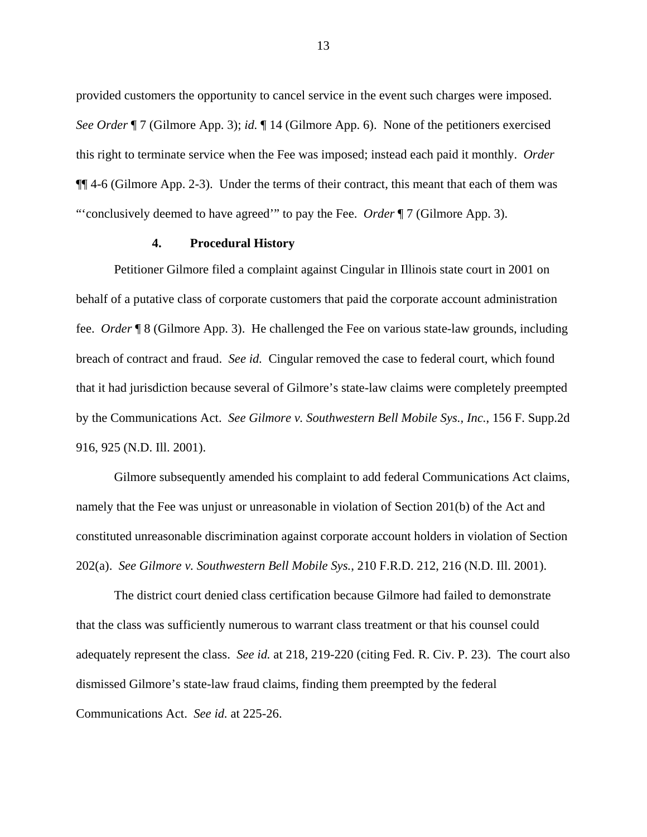provided customers the opportunity to cancel service in the event such charges were imposed. *See Order* ¶ 7 (Gilmore App. 3); *id.* ¶ 14 (Gilmore App. 6). None of the petitioners exercised this right to terminate service when the Fee was imposed; instead each paid it monthly. *Order* ¶¶ 4-6 (Gilmore App. 2-3). Under the terms of their contract, this meant that each of them was "'conclusively deemed to have agreed'" to pay the Fee. *Order* ¶ 7 (Gilmore App. 3).

#### **4. Procedural History**

Petitioner Gilmore filed a complaint against Cingular in Illinois state court in 2001 on behalf of a putative class of corporate customers that paid the corporate account administration fee. *Order* ¶ 8 (Gilmore App. 3). He challenged the Fee on various state-law grounds, including breach of contract and fraud. *See id.* Cingular removed the case to federal court, which found that it had jurisdiction because several of Gilmore's state-law claims were completely preempted by the Communications Act. *See Gilmore v. Southwestern Bell Mobile Sys., Inc.*, 156 F. Supp.2d 916, 925 (N.D. Ill. 2001).

Gilmore subsequently amended his complaint to add federal Communications Act claims, namely that the Fee was unjust or unreasonable in violation of Section 201(b) of the Act and constituted unreasonable discrimination against corporate account holders in violation of Section 202(a). *See Gilmore v. Southwestern Bell Mobile Sys.*, 210 F.R.D. 212, 216 (N.D. Ill. 2001).

The district court denied class certification because Gilmore had failed to demonstrate that the class was sufficiently numerous to warrant class treatment or that his counsel could adequately represent the class. *See id.* at 218, 219-220 (citing Fed. R. Civ. P. 23). The court also dismissed Gilmore's state-law fraud claims, finding them preempted by the federal Communications Act. *See id.* at 225-26.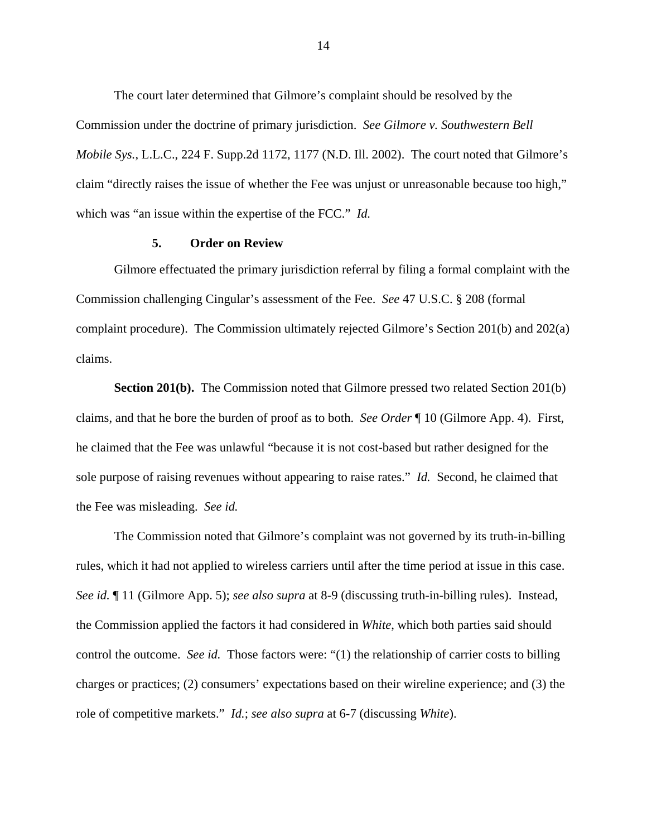The court later determined that Gilmore's complaint should be resolved by the Commission under the doctrine of primary jurisdiction. *See Gilmore v. Southwestern Bell Mobile Sys.*, L.L.C., 224 F. Supp.2d 1172, 1177 (N.D. Ill. 2002). The court noted that Gilmore's claim "directly raises the issue of whether the Fee was unjust or unreasonable because too high," which was "an issue within the expertise of the FCC." *Id.*

#### **5. Order on Review**

Gilmore effectuated the primary jurisdiction referral by filing a formal complaint with the Commission challenging Cingular's assessment of the Fee. *See* 47 U.S.C. § 208 (formal complaint procedure). The Commission ultimately rejected Gilmore's Section 201(b) and 202(a) claims.

**Section 201(b).** The Commission noted that Gilmore pressed two related Section 201(b) claims, and that he bore the burden of proof as to both. *See Order* ¶ 10 (Gilmore App. 4). First, he claimed that the Fee was unlawful "because it is not cost-based but rather designed for the sole purpose of raising revenues without appearing to raise rates." *Id.* Second, he claimed that the Fee was misleading. *See id.*

The Commission noted that Gilmore's complaint was not governed by its truth-in-billing rules, which it had not applied to wireless carriers until after the time period at issue in this case. *See id.* ¶ 11 (Gilmore App. 5); *see also supra* at 8-9 (discussing truth-in-billing rules). Instead, the Commission applied the factors it had considered in *White*, which both parties said should control the outcome. *See id.* Those factors were: "(1) the relationship of carrier costs to billing charges or practices; (2) consumers' expectations based on their wireline experience; and (3) the role of competitive markets." *Id.*; *see also supra* at 6-7 (discussing *White*).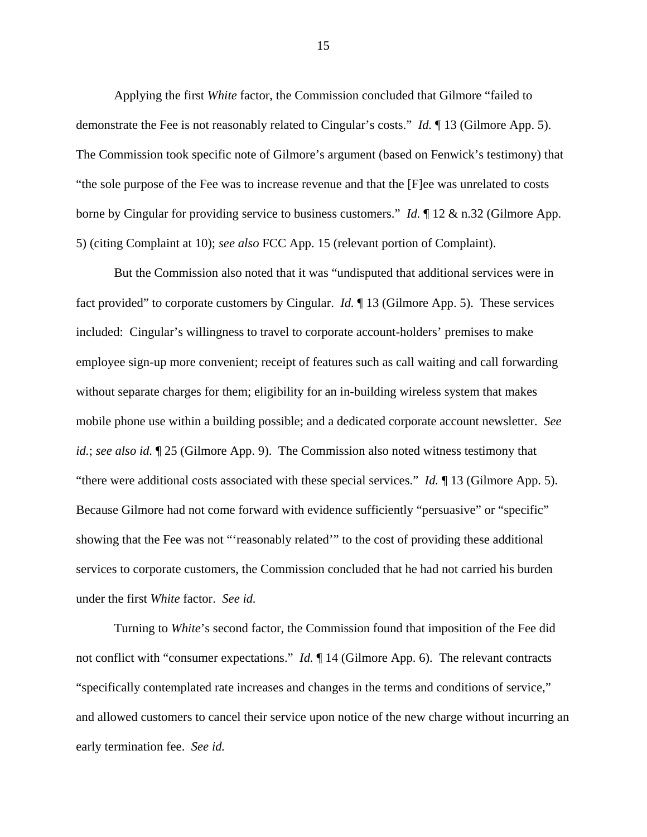Applying the first *White* factor, the Commission concluded that Gilmore "failed to demonstrate the Fee is not reasonably related to Cingular's costs." *Id.* ¶ 13 (Gilmore App. 5). The Commission took specific note of Gilmore's argument (based on Fenwick's testimony) that "the sole purpose of the Fee was to increase revenue and that the [F]ee was unrelated to costs borne by Cingular for providing service to business customers." *Id.* ¶ 12 & n.32 (Gilmore App. 5) (citing Complaint at 10); *see also* FCC App. 15 (relevant portion of Complaint).

But the Commission also noted that it was "undisputed that additional services were in fact provided" to corporate customers by Cingular. *Id.* ¶ 13 (Gilmore App. 5). These services included: Cingular's willingness to travel to corporate account-holders' premises to make employee sign-up more convenient; receipt of features such as call waiting and call forwarding without separate charges for them; eligibility for an in-building wireless system that makes mobile phone use within a building possible; and a dedicated corporate account newsletter. *See id.*; *see also id.* ¶ 25 (Gilmore App. 9). The Commission also noted witness testimony that "there were additional costs associated with these special services." *Id.* ¶ 13 (Gilmore App. 5). Because Gilmore had not come forward with evidence sufficiently "persuasive" or "specific" showing that the Fee was not "'reasonably related'" to the cost of providing these additional services to corporate customers, the Commission concluded that he had not carried his burden under the first *White* factor. *See id.*

Turning to *White*'s second factor, the Commission found that imposition of the Fee did not conflict with "consumer expectations." *Id.* ¶ 14 (Gilmore App. 6). The relevant contracts "specifically contemplated rate increases and changes in the terms and conditions of service," and allowed customers to cancel their service upon notice of the new charge without incurring an early termination fee. *See id.*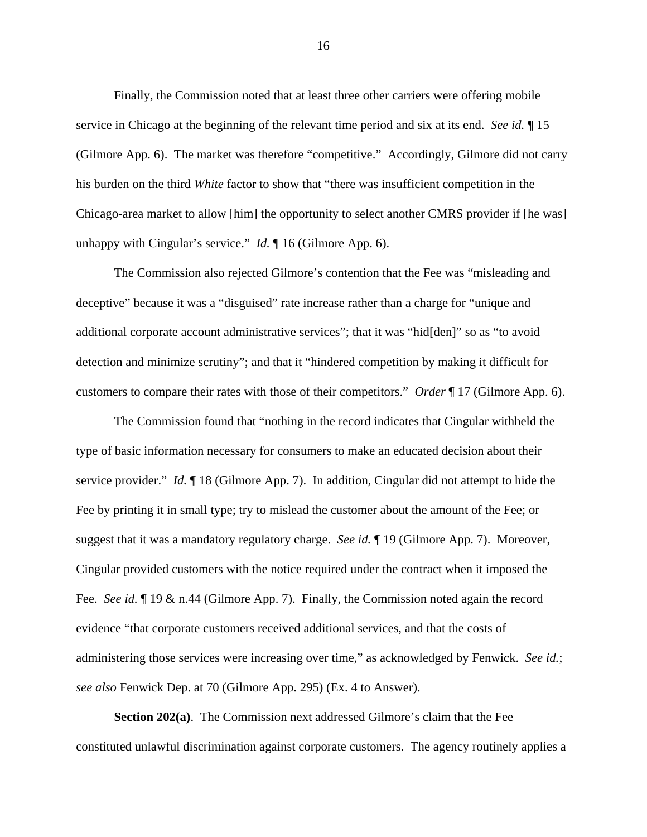Finally, the Commission noted that at least three other carriers were offering mobile service in Chicago at the beginning of the relevant time period and six at its end. *See id.* ¶ 15 (Gilmore App. 6). The market was therefore "competitive." Accordingly, Gilmore did not carry his burden on the third *White* factor to show that "there was insufficient competition in the Chicago-area market to allow [him] the opportunity to select another CMRS provider if [he was] unhappy with Cingular's service." *Id.* ¶ 16 (Gilmore App. 6).

The Commission also rejected Gilmore's contention that the Fee was "misleading and deceptive" because it was a "disguised" rate increase rather than a charge for "unique and additional corporate account administrative services"; that it was "hid[den]" so as "to avoid detection and minimize scrutiny"; and that it "hindered competition by making it difficult for customers to compare their rates with those of their competitors." *Order* ¶ 17 (Gilmore App. 6).

The Commission found that "nothing in the record indicates that Cingular withheld the type of basic information necessary for consumers to make an educated decision about their service provider." *Id.* ¶ 18 (Gilmore App. 7). In addition, Cingular did not attempt to hide the Fee by printing it in small type; try to mislead the customer about the amount of the Fee; or suggest that it was a mandatory regulatory charge. *See id.* ¶ 19 (Gilmore App. 7). Moreover, Cingular provided customers with the notice required under the contract when it imposed the Fee. *See id.* ¶ 19 & n.44 (Gilmore App. 7). Finally, the Commission noted again the record evidence "that corporate customers received additional services, and that the costs of administering those services were increasing over time," as acknowledged by Fenwick. *See id.*; *see also* Fenwick Dep. at 70 (Gilmore App. 295) (Ex. 4 to Answer).

**Section 202(a)**. The Commission next addressed Gilmore's claim that the Fee constituted unlawful discrimination against corporate customers. The agency routinely applies a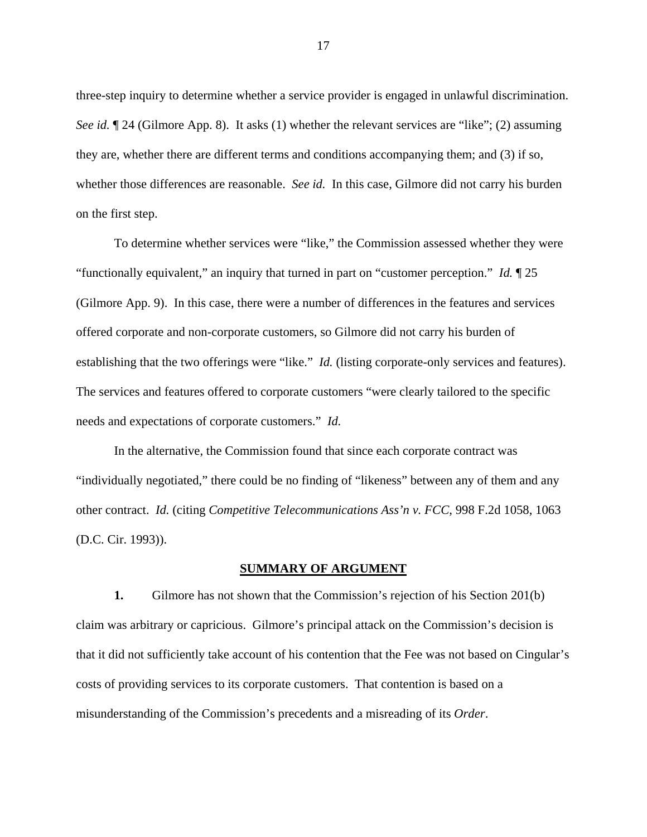three-step inquiry to determine whether a service provider is engaged in unlawful discrimination. *See id.* ¶ 24 (Gilmore App. 8). It asks (1) whether the relevant services are "like"; (2) assuming they are, whether there are different terms and conditions accompanying them; and (3) if so, whether those differences are reasonable. *See id.* In this case, Gilmore did not carry his burden on the first step.

To determine whether services were "like," the Commission assessed whether they were "functionally equivalent," an inquiry that turned in part on "customer perception." *Id.* ¶ 25 (Gilmore App. 9). In this case, there were a number of differences in the features and services offered corporate and non-corporate customers, so Gilmore did not carry his burden of establishing that the two offerings were "like." *Id.* (listing corporate-only services and features). The services and features offered to corporate customers "were clearly tailored to the specific needs and expectations of corporate customers." *Id.*

In the alternative, the Commission found that since each corporate contract was "individually negotiated," there could be no finding of "likeness" between any of them and any other contract. *Id.* (citing *Competitive Telecommunications Ass'n v. FCC*, 998 F.2d 1058, 1063 (D.C. Cir. 1993)).

#### **SUMMARY OF ARGUMENT**

**1.** Gilmore has not shown that the Commission's rejection of his Section 201(b) claim was arbitrary or capricious. Gilmore's principal attack on the Commission's decision is that it did not sufficiently take account of his contention that the Fee was not based on Cingular's costs of providing services to its corporate customers. That contention is based on a misunderstanding of the Commission's precedents and a misreading of its *Order*.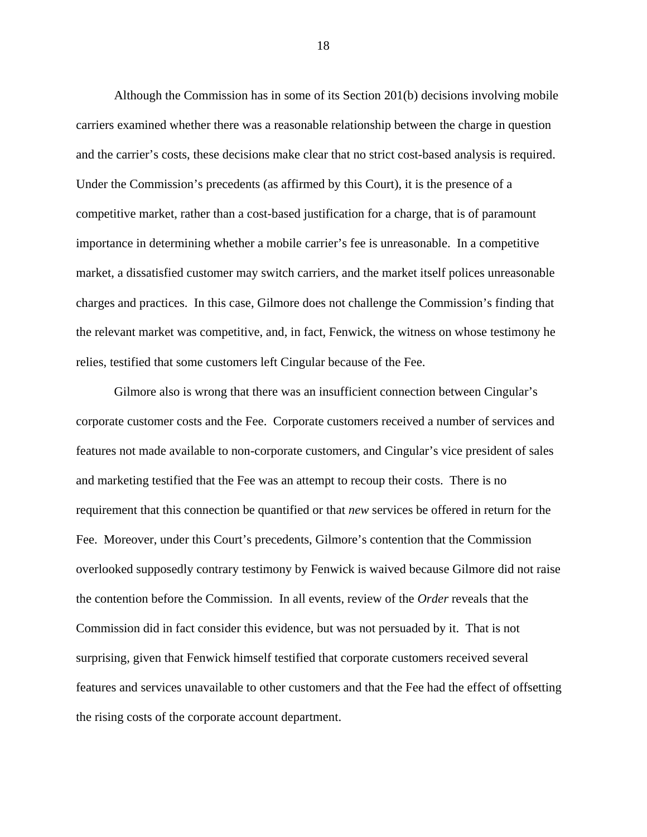Although the Commission has in some of its Section 201(b) decisions involving mobile carriers examined whether there was a reasonable relationship between the charge in question and the carrier's costs, these decisions make clear that no strict cost-based analysis is required. Under the Commission's precedents (as affirmed by this Court), it is the presence of a competitive market, rather than a cost-based justification for a charge, that is of paramount importance in determining whether a mobile carrier's fee is unreasonable. In a competitive market, a dissatisfied customer may switch carriers, and the market itself polices unreasonable charges and practices. In this case, Gilmore does not challenge the Commission's finding that the relevant market was competitive, and, in fact, Fenwick, the witness on whose testimony he relies, testified that some customers left Cingular because of the Fee.

Gilmore also is wrong that there was an insufficient connection between Cingular's corporate customer costs and the Fee. Corporate customers received a number of services and features not made available to non-corporate customers, and Cingular's vice president of sales and marketing testified that the Fee was an attempt to recoup their costs. There is no requirement that this connection be quantified or that *new* services be offered in return for the Fee. Moreover, under this Court's precedents, Gilmore's contention that the Commission overlooked supposedly contrary testimony by Fenwick is waived because Gilmore did not raise the contention before the Commission. In all events, review of the *Order* reveals that the Commission did in fact consider this evidence, but was not persuaded by it. That is not surprising, given that Fenwick himself testified that corporate customers received several features and services unavailable to other customers and that the Fee had the effect of offsetting the rising costs of the corporate account department.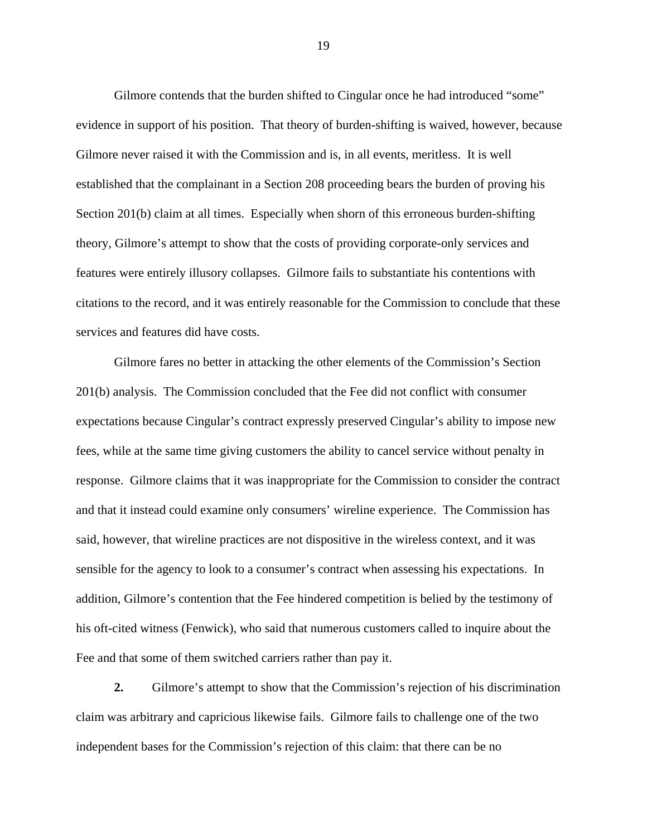Gilmore contends that the burden shifted to Cingular once he had introduced "some" evidence in support of his position. That theory of burden-shifting is waived, however, because Gilmore never raised it with the Commission and is, in all events, meritless. It is well established that the complainant in a Section 208 proceeding bears the burden of proving his Section 201(b) claim at all times. Especially when shorn of this erroneous burden-shifting theory, Gilmore's attempt to show that the costs of providing corporate-only services and features were entirely illusory collapses. Gilmore fails to substantiate his contentions with citations to the record, and it was entirely reasonable for the Commission to conclude that these services and features did have costs.

Gilmore fares no better in attacking the other elements of the Commission's Section 201(b) analysis. The Commission concluded that the Fee did not conflict with consumer expectations because Cingular's contract expressly preserved Cingular's ability to impose new fees, while at the same time giving customers the ability to cancel service without penalty in response. Gilmore claims that it was inappropriate for the Commission to consider the contract and that it instead could examine only consumers' wireline experience. The Commission has said, however, that wireline practices are not dispositive in the wireless context, and it was sensible for the agency to look to a consumer's contract when assessing his expectations. In addition, Gilmore's contention that the Fee hindered competition is belied by the testimony of his oft-cited witness (Fenwick), who said that numerous customers called to inquire about the Fee and that some of them switched carriers rather than pay it.

**2.** Gilmore's attempt to show that the Commission's rejection of his discrimination claim was arbitrary and capricious likewise fails. Gilmore fails to challenge one of the two independent bases for the Commission's rejection of this claim: that there can be no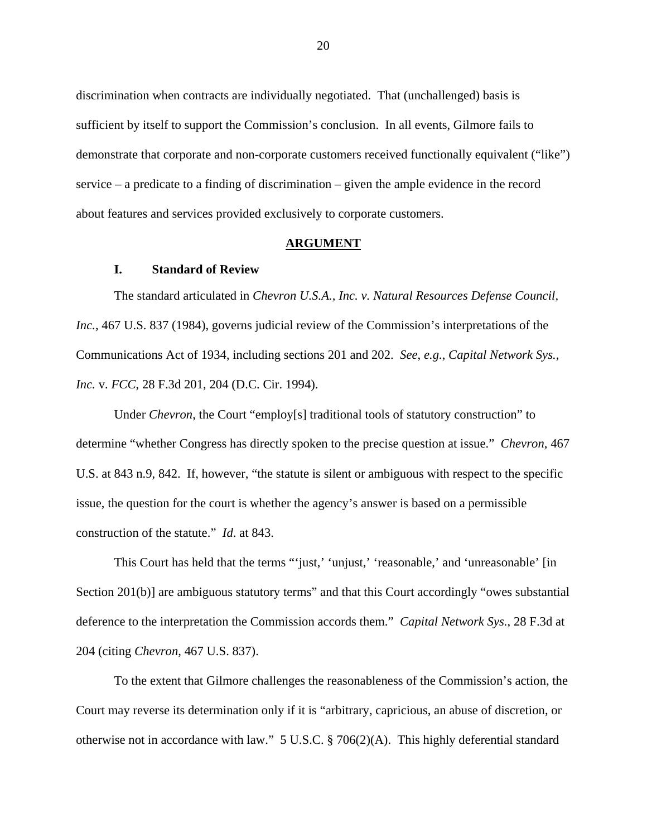discrimination when contracts are individually negotiated. That (unchallenged) basis is sufficient by itself to support the Commission's conclusion. In all events, Gilmore fails to demonstrate that corporate and non-corporate customers received functionally equivalent ("like") service – a predicate to a finding of discrimination – given the ample evidence in the record about features and services provided exclusively to corporate customers.

#### **ARGUMENT**

#### **I. Standard of Review**

The standard articulated in *Chevron U.S.A., Inc. v. Natural Resources Defense Council, Inc.*, 467 U.S. 837 (1984), governs judicial review of the Commission's interpretations of the Communications Act of 1934, including sections 201 and 202. *See*, *e.g.*, *Capital Network Sys., Inc.* v. *FCC*, 28 F.3d 201, 204 (D.C. Cir. 1994).

Under *Chevron*, the Court "employ[s] traditional tools of statutory construction" to determine "whether Congress has directly spoken to the precise question at issue." *Chevron*, 467 U.S. at 843 n.9, 842. If, however, "the statute is silent or ambiguous with respect to the specific issue, the question for the court is whether the agency's answer is based on a permissible construction of the statute." *Id*. at 843.

This Court has held that the terms "'just,' 'unjust,' 'reasonable,' and 'unreasonable' [in] Section 201(b)] are ambiguous statutory terms" and that this Court accordingly "owes substantial deference to the interpretation the Commission accords them." *Capital Network Sys.*, 28 F.3d at 204 (citing *Chevron*, 467 U.S. 837).

To the extent that Gilmore challenges the reasonableness of the Commission's action, the Court may reverse its determination only if it is "arbitrary, capricious, an abuse of discretion, or otherwise not in accordance with law." 5 U.S.C. § 706(2)(A). This highly deferential standard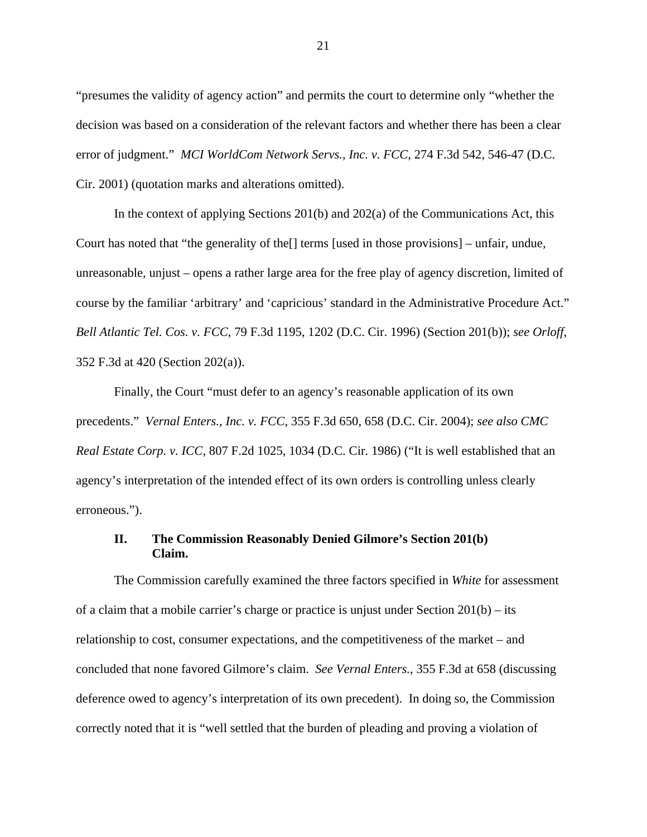"presumes the validity of agency action" and permits the court to determine only "whether the decision was based on a consideration of the relevant factors and whether there has been a clear error of judgment." *MCI WorldCom Network Servs., Inc. v. FCC*, 274 F.3d 542, 546-47 (D.C. Cir. 2001) (quotation marks and alterations omitted).

In the context of applying Sections 201(b) and 202(a) of the Communications Act, this Court has noted that "the generality of the[] terms [used in those provisions] – unfair, undue, unreasonable, unjust – opens a rather large area for the free play of agency discretion, limited of course by the familiar 'arbitrary' and 'capricious' standard in the Administrative Procedure Act." *Bell Atlantic Tel. Cos. v. FCC*, 79 F.3d 1195, 1202 (D.C. Cir. 1996) (Section 201(b)); *see Orloff*, 352 F.3d at 420 (Section 202(a)).

Finally, the Court "must defer to an agency's reasonable application of its own precedents." *Vernal Enters., Inc. v. FCC*, 355 F.3d 650, 658 (D.C. Cir. 2004); *see also CMC Real Estate Corp. v. ICC*, 807 F.2d 1025, 1034 (D.C. Cir. 1986) ("It is well established that an agency's interpretation of the intended effect of its own orders is controlling unless clearly erroneous.").

## **II. The Commission Reasonably Denied Gilmore's Section 201(b) Claim.**

The Commission carefully examined the three factors specified in *White* for assessment of a claim that a mobile carrier's charge or practice is unjust under Section  $201(b) -$  its relationship to cost, consumer expectations, and the competitiveness of the market – and concluded that none favored Gilmore's claim. *See Vernal Enters.*, 355 F.3d at 658 (discussing deference owed to agency's interpretation of its own precedent). In doing so, the Commission correctly noted that it is "well settled that the burden of pleading and proving a violation of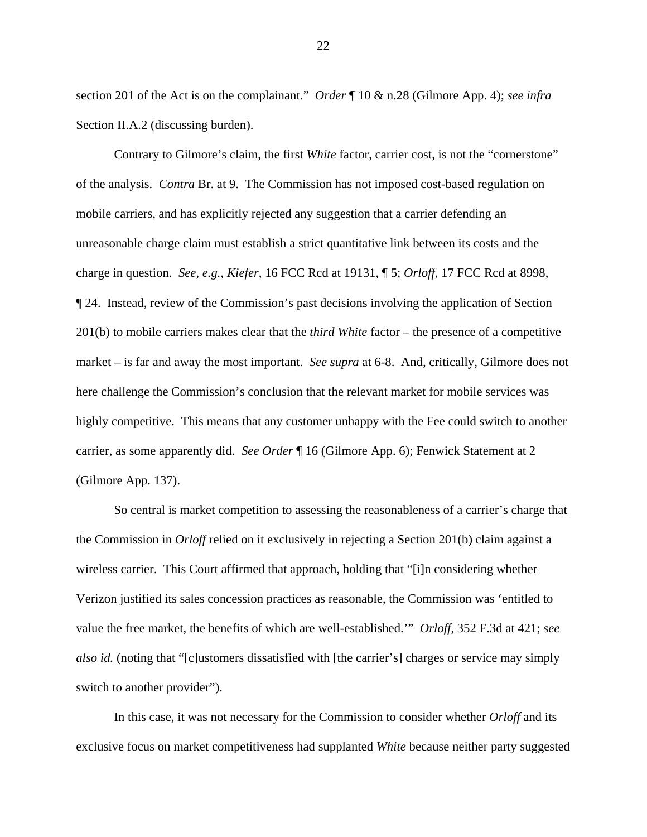section 201 of the Act is on the complainant." *Order* ¶ 10 & n.28 (Gilmore App. 4); *see infra* Section II.A.2 (discussing burden).

Contrary to Gilmore's claim, the first *White* factor, carrier cost, is not the "cornerstone" of the analysis. *Contra* Br. at 9. The Commission has not imposed cost-based regulation on mobile carriers, and has explicitly rejected any suggestion that a carrier defending an unreasonable charge claim must establish a strict quantitative link between its costs and the charge in question. *See, e.g.*, *Kiefer*, 16 FCC Rcd at 19131, ¶ 5; *Orloff*, 17 FCC Rcd at 8998, ¶ 24. Instead, review of the Commission's past decisions involving the application of Section 201(b) to mobile carriers makes clear that the *third White* factor – the presence of a competitive market – is far and away the most important. *See supra* at 6-8. And, critically, Gilmore does not here challenge the Commission's conclusion that the relevant market for mobile services was highly competitive. This means that any customer unhappy with the Fee could switch to another carrier, as some apparently did. *See Order* ¶ 16 (Gilmore App. 6); Fenwick Statement at 2 (Gilmore App. 137).

So central is market competition to assessing the reasonableness of a carrier's charge that the Commission in *Orloff* relied on it exclusively in rejecting a Section 201(b) claim against a wireless carrier. This Court affirmed that approach, holding that "[i]n considering whether Verizon justified its sales concession practices as reasonable, the Commission was 'entitled to value the free market, the benefits of which are well-established.'" *Orloff*, 352 F.3d at 421; *see also id.* (noting that "[c]ustomers dissatisfied with [the carrier's] charges or service may simply switch to another provider").

In this case, it was not necessary for the Commission to consider whether *Orloff* and its exclusive focus on market competitiveness had supplanted *White* because neither party suggested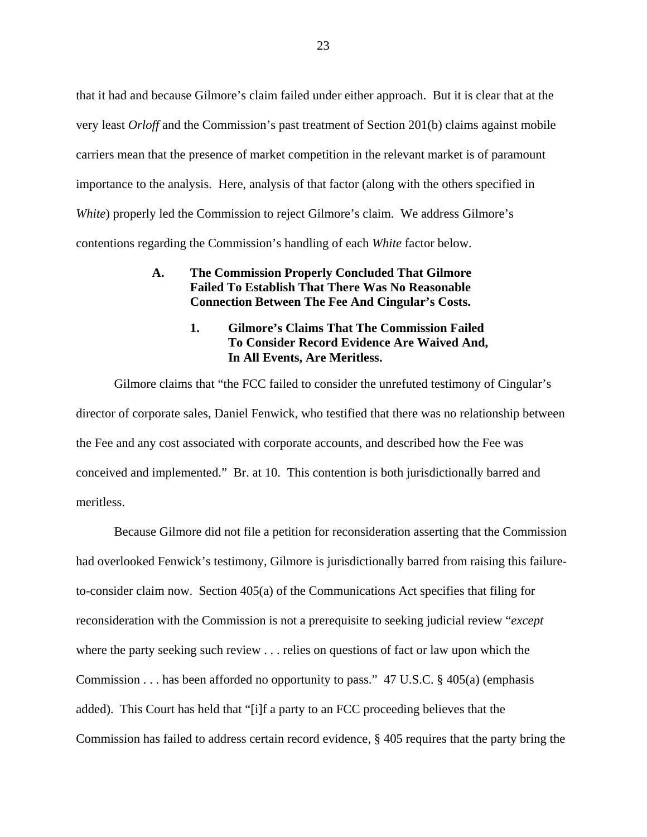that it had and because Gilmore's claim failed under either approach. But it is clear that at the very least *Orloff* and the Commission's past treatment of Section 201(b) claims against mobile carriers mean that the presence of market competition in the relevant market is of paramount importance to the analysis. Here, analysis of that factor (along with the others specified in *White*) properly led the Commission to reject Gilmore's claim. We address Gilmore's contentions regarding the Commission's handling of each *White* factor below.

## **A. The Commission Properly Concluded That Gilmore Failed To Establish That There Was No Reasonable Connection Between The Fee And Cingular's Costs.**

## **1. Gilmore's Claims That The Commission Failed To Consider Record Evidence Are Waived And, In All Events, Are Meritless.**

Gilmore claims that "the FCC failed to consider the unrefuted testimony of Cingular's director of corporate sales, Daniel Fenwick, who testified that there was no relationship between the Fee and any cost associated with corporate accounts, and described how the Fee was conceived and implemented." Br. at 10. This contention is both jurisdictionally barred and meritless.

Because Gilmore did not file a petition for reconsideration asserting that the Commission had overlooked Fenwick's testimony, Gilmore is jurisdictionally barred from raising this failureto-consider claim now. Section 405(a) of the Communications Act specifies that filing for reconsideration with the Commission is not a prerequisite to seeking judicial review "*except* where the party seeking such review . . . relies on questions of fact or law upon which the Commission . . . has been afforded no opportunity to pass." 47 U.S.C. § 405(a) (emphasis added). This Court has held that "[i]f a party to an FCC proceeding believes that the Commission has failed to address certain record evidence, § 405 requires that the party bring the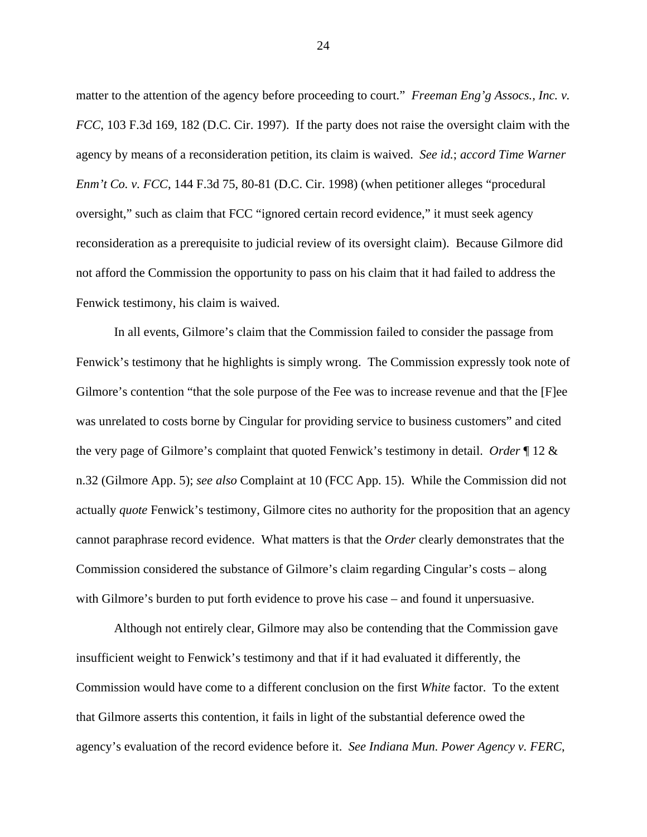matter to the attention of the agency before proceeding to court." *Freeman Eng'g Assocs., Inc. v. FCC*, 103 F.3d 169, 182 (D.C. Cir. 1997). If the party does not raise the oversight claim with the agency by means of a reconsideration petition, its claim is waived. *See id.*; *accord Time Warner Enm't Co. v. FCC*, 144 F.3d 75, 80-81 (D.C. Cir. 1998) (when petitioner alleges "procedural oversight," such as claim that FCC "ignored certain record evidence," it must seek agency reconsideration as a prerequisite to judicial review of its oversight claim). Because Gilmore did not afford the Commission the opportunity to pass on his claim that it had failed to address the Fenwick testimony, his claim is waived.

In all events, Gilmore's claim that the Commission failed to consider the passage from Fenwick's testimony that he highlights is simply wrong. The Commission expressly took note of Gilmore's contention "that the sole purpose of the Fee was to increase revenue and that the [F]ee was unrelated to costs borne by Cingular for providing service to business customers" and cited the very page of Gilmore's complaint that quoted Fenwick's testimony in detail. *Order* ¶ 12 & n.32 (Gilmore App. 5); *see also* Complaint at 10 (FCC App. 15). While the Commission did not actually *quote* Fenwick's testimony, Gilmore cites no authority for the proposition that an agency cannot paraphrase record evidence. What matters is that the *Order* clearly demonstrates that the Commission considered the substance of Gilmore's claim regarding Cingular's costs – along with Gilmore's burden to put forth evidence to prove his case – and found it unpersuasive.

Although not entirely clear, Gilmore may also be contending that the Commission gave insufficient weight to Fenwick's testimony and that if it had evaluated it differently, the Commission would have come to a different conclusion on the first *White* factor. To the extent that Gilmore asserts this contention, it fails in light of the substantial deference owed the agency's evaluation of the record evidence before it. *See Indiana Mun. Power Agency v. FERC*,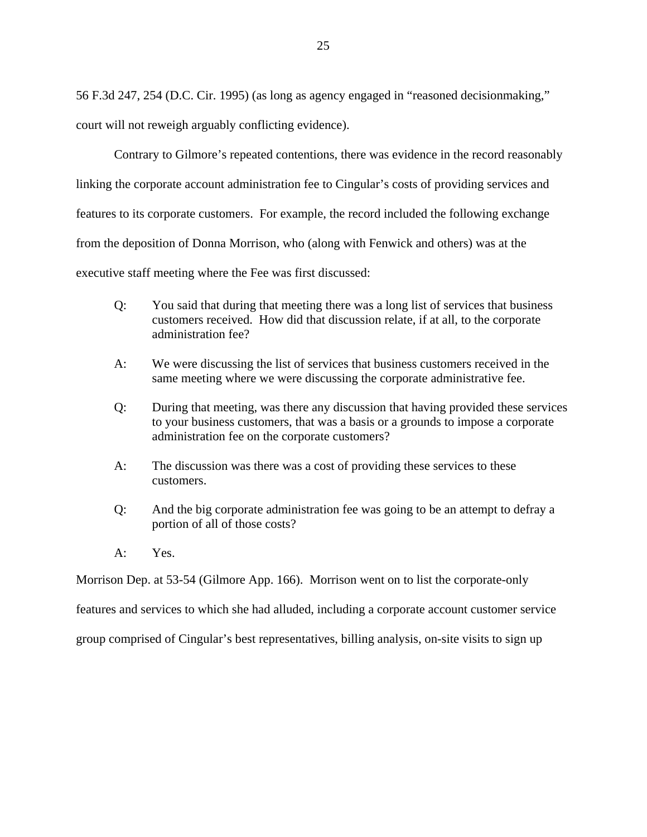56 F.3d 247, 254 (D.C. Cir. 1995) (as long as agency engaged in "reasoned decisionmaking,"

court will not reweigh arguably conflicting evidence).

Contrary to Gilmore's repeated contentions, there was evidence in the record reasonably linking the corporate account administration fee to Cingular's costs of providing services and features to its corporate customers. For example, the record included the following exchange from the deposition of Donna Morrison, who (along with Fenwick and others) was at the executive staff meeting where the Fee was first discussed:

- Q: You said that during that meeting there was a long list of services that business customers received. How did that discussion relate, if at all, to the corporate administration fee?
- A: We were discussing the list of services that business customers received in the same meeting where we were discussing the corporate administrative fee.
- Q: During that meeting, was there any discussion that having provided these services to your business customers, that was a basis or a grounds to impose a corporate administration fee on the corporate customers?
- A: The discussion was there was a cost of providing these services to these customers.
- Q: And the big corporate administration fee was going to be an attempt to defray a portion of all of those costs?
- A: Yes.

Morrison Dep. at 53-54 (Gilmore App. 166). Morrison went on to list the corporate-only

features and services to which she had alluded, including a corporate account customer service

group comprised of Cingular's best representatives, billing analysis, on-site visits to sign up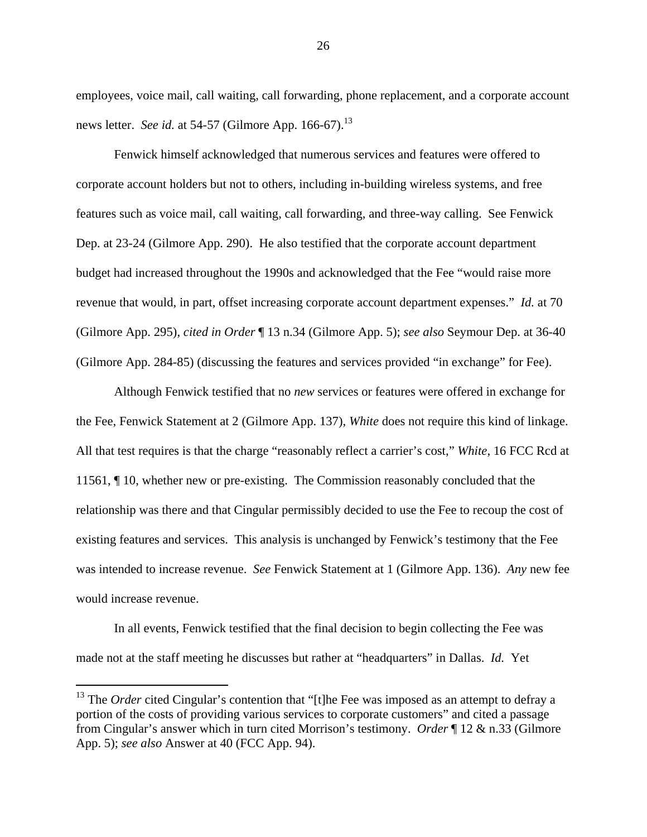employees, voice mail, call waiting, call forwarding, phone replacement, and a corporate account news letter. *See id.* at 54-57 (Gilmore App. 166-67).<sup>13</sup>

Fenwick himself acknowledged that numerous services and features were offered to corporate account holders but not to others, including in-building wireless systems, and free features such as voice mail, call waiting, call forwarding, and three-way calling. See Fenwick Dep. at 23-24 (Gilmore App. 290). He also testified that the corporate account department budget had increased throughout the 1990s and acknowledged that the Fee "would raise more revenue that would, in part, offset increasing corporate account department expenses." *Id.* at 70 (Gilmore App. 295), *cited in Order* ¶ 13 n.34 (Gilmore App. 5); *see also* Seymour Dep. at 36-40 (Gilmore App. 284-85) (discussing the features and services provided "in exchange" for Fee).

Although Fenwick testified that no *new* services or features were offered in exchange for the Fee, Fenwick Statement at 2 (Gilmore App. 137), *White* does not require this kind of linkage. All that test requires is that the charge "reasonably reflect a carrier's cost," *White*, 16 FCC Rcd at 11561, ¶ 10, whether new or pre-existing. The Commission reasonably concluded that the relationship was there and that Cingular permissibly decided to use the Fee to recoup the cost of existing features and services. This analysis is unchanged by Fenwick's testimony that the Fee was intended to increase revenue. *See* Fenwick Statement at 1 (Gilmore App. 136). *Any* new fee would increase revenue.

In all events, Fenwick testified that the final decision to begin collecting the Fee was made not at the staff meeting he discusses but rather at "headquarters" in Dallas. *Id.* Yet

<sup>&</sup>lt;sup>13</sup> The *Order* cited Cingular's contention that "[t]he Fee was imposed as an attempt to defray a portion of the costs of providing various services to corporate customers" and cited a passage from Cingular's answer which in turn cited Morrison's testimony. *Order* ¶ 12 & n.33 (Gilmore App. 5); *see also* Answer at 40 (FCC App. 94).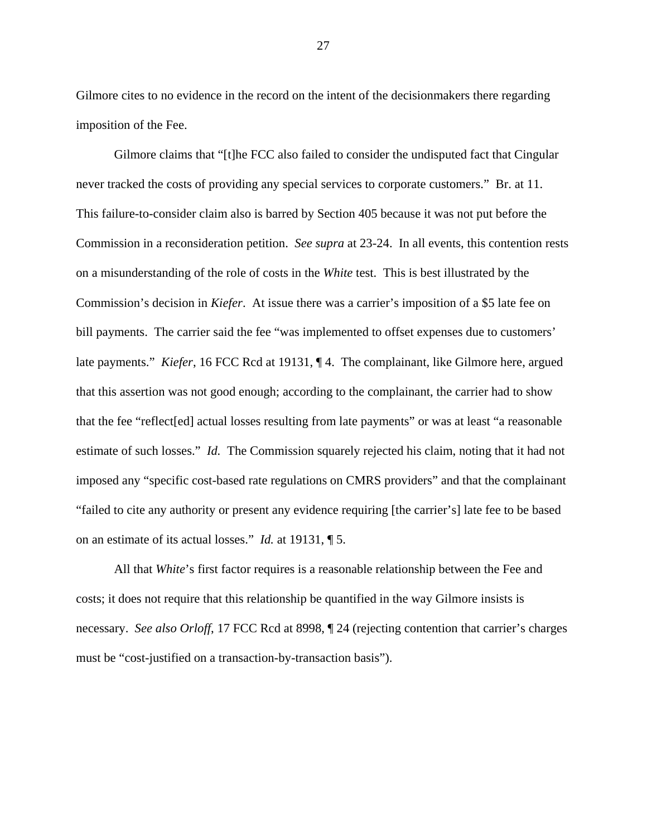Gilmore cites to no evidence in the record on the intent of the decisionmakers there regarding imposition of the Fee.

Gilmore claims that "[t]he FCC also failed to consider the undisputed fact that Cingular never tracked the costs of providing any special services to corporate customers." Br. at 11. This failure-to-consider claim also is barred by Section 405 because it was not put before the Commission in a reconsideration petition. *See supra* at 23-24. In all events, this contention rests on a misunderstanding of the role of costs in the *White* test. This is best illustrated by the Commission's decision in *Kiefer*. At issue there was a carrier's imposition of a \$5 late fee on bill payments. The carrier said the fee "was implemented to offset expenses due to customers' late payments." *Kiefer*, 16 FCC Rcd at 19131, ¶ 4. The complainant, like Gilmore here, argued that this assertion was not good enough; according to the complainant, the carrier had to show that the fee "reflect[ed] actual losses resulting from late payments" or was at least "a reasonable estimate of such losses." *Id.* The Commission squarely rejected his claim, noting that it had not imposed any "specific cost-based rate regulations on CMRS providers" and that the complainant "failed to cite any authority or present any evidence requiring [the carrier's] late fee to be based on an estimate of its actual losses." *Id.* at 19131, ¶ 5.

All that *White*'s first factor requires is a reasonable relationship between the Fee and costs; it does not require that this relationship be quantified in the way Gilmore insists is necessary. *See also Orloff*, 17 FCC Rcd at 8998, ¶ 24 (rejecting contention that carrier's charges must be "cost-justified on a transaction-by-transaction basis").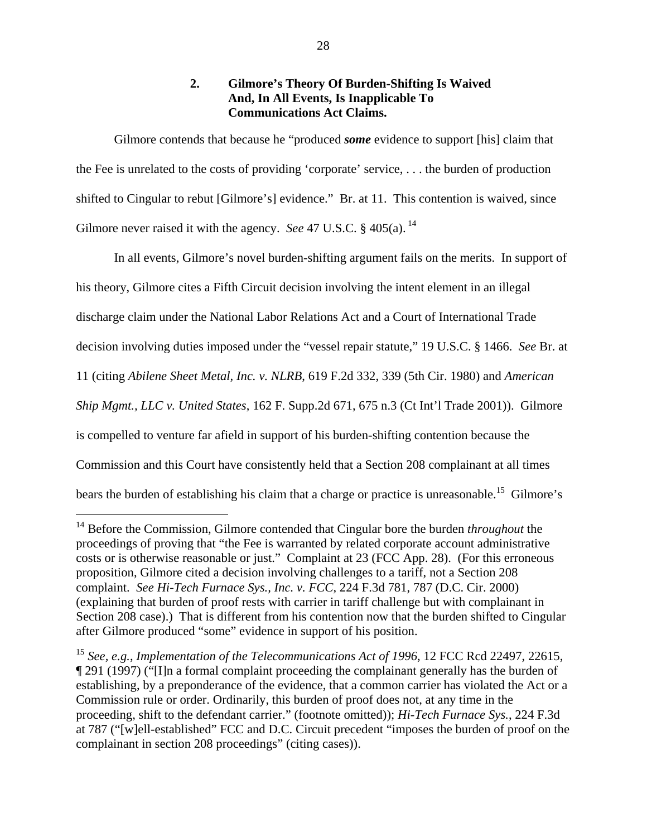## **2. Gilmore's Theory Of Burden-Shifting Is Waived And, In All Events, Is Inapplicable To Communications Act Claims.**

Gilmore contends that because he "produced *some* evidence to support [his] claim that the Fee is unrelated to the costs of providing 'corporate' service, . . . the burden of production shifted to Cingular to rebut [Gilmore's] evidence." Br. at 11. This contention is waived, since Gilmore never raised it with the agency. *See* 47 U.S.C. § 405(a).<sup>14</sup>

In all events, Gilmore's novel burden-shifting argument fails on the merits. In support of his theory, Gilmore cites a Fifth Circuit decision involving the intent element in an illegal discharge claim under the National Labor Relations Act and a Court of International Trade decision involving duties imposed under the "vessel repair statute," 19 U.S.C. § 1466. *See* Br. at 11 (citing *Abilene Sheet Metal, Inc. v. NLRB*, 619 F.2d 332, 339 (5th Cir. 1980) and *American Ship Mgmt., LLC v. United States*, 162 F. Supp.2d 671, 675 n.3 (Ct Int'l Trade 2001)). Gilmore is compelled to venture far afield in support of his burden-shifting contention because the Commission and this Court have consistently held that a Section 208 complainant at all times bears the burden of establishing his claim that a charge or practice is unreasonable.<sup>15</sup> Gilmore's

<sup>14</sup> Before the Commission, Gilmore contended that Cingular bore the burden *throughout* the proceedings of proving that "the Fee is warranted by related corporate account administrative costs or is otherwise reasonable or just." Complaint at 23 (FCC App. 28). (For this erroneous proposition, Gilmore cited a decision involving challenges to a tariff, not a Section 208 complaint. *See Hi-Tech Furnace Sys., Inc. v. FCC*, 224 F.3d 781, 787 (D.C. Cir. 2000) (explaining that burden of proof rests with carrier in tariff challenge but with complainant in Section 208 case).) That is different from his contention now that the burden shifted to Cingular after Gilmore produced "some" evidence in support of his position.

<sup>15</sup> *See, e.g.*, *Implementation of the Telecommunications Act of 1996*, 12 FCC Rcd 22497, 22615, ¶ 291 (1997) ("[I]n a formal complaint proceeding the complainant generally has the burden of establishing, by a preponderance of the evidence, that a common carrier has violated the Act or a Commission rule or order. Ordinarily, this burden of proof does not, at any time in the proceeding, shift to the defendant carrier." (footnote omitted)); *Hi-Tech Furnace Sys.*, 224 F.3d at 787 ("[w]ell-established" FCC and D.C. Circuit precedent "imposes the burden of proof on the complainant in section 208 proceedings" (citing cases)).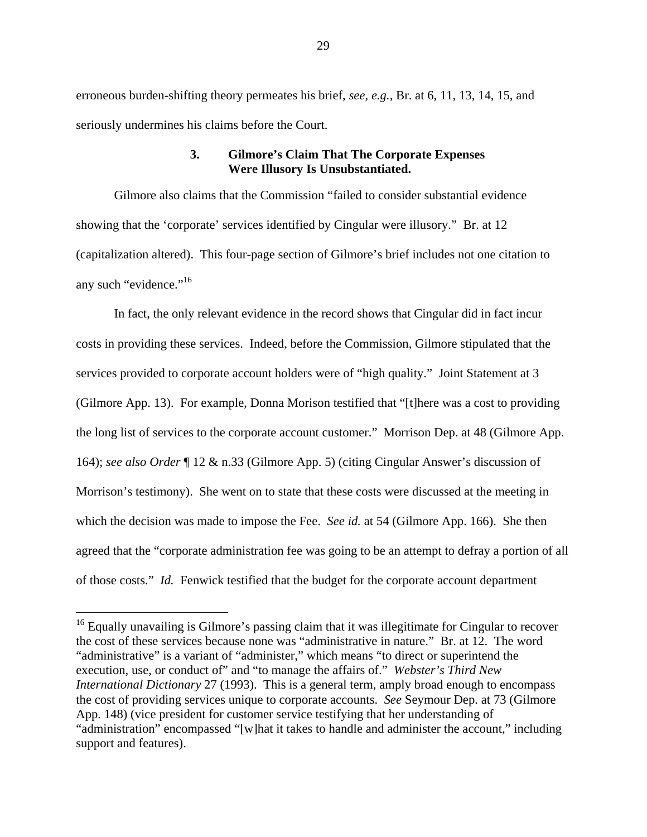erroneous burden-shifting theory permeates his brief, *see, e.g.*, Br. at 6, 11, 13, 14, 15, and seriously undermines his claims before the Court.

## **3. Gilmore's Claim That The Corporate Expenses Were Illusory Is Unsubstantiated.**

Gilmore also claims that the Commission "failed to consider substantial evidence showing that the 'corporate' services identified by Cingular were illusory." Br. at 12 (capitalization altered). This four-page section of Gilmore's brief includes not one citation to any such "evidence."<sup>16</sup>

In fact, the only relevant evidence in the record shows that Cingular did in fact incur costs in providing these services. Indeed, before the Commission, Gilmore stipulated that the services provided to corporate account holders were of "high quality." Joint Statement at 3 (Gilmore App. 13). For example, Donna Morison testified that "[t]here was a cost to providing the long list of services to the corporate account customer." Morrison Dep. at 48 (Gilmore App. 164); *see also Order* ¶ 12 & n.33 (Gilmore App. 5) (citing Cingular Answer's discussion of Morrison's testimony). She went on to state that these costs were discussed at the meeting in which the decision was made to impose the Fee. *See id.* at 54 (Gilmore App. 166). She then agreed that the "corporate administration fee was going to be an attempt to defray a portion of all of those costs." *Id.* Fenwick testified that the budget for the corporate account department

<sup>&</sup>lt;sup>16</sup> Equally unavailing is Gilmore's passing claim that it was illegitimate for Cingular to recover the cost of these services because none was "administrative in nature." Br. at 12. The word "administrative" is a variant of "administer," which means "to direct or superintend the execution, use, or conduct of" and "to manage the affairs of." *Webster's Third New International Dictionary* 27 (1993). This is a general term, amply broad enough to encompass the cost of providing services unique to corporate accounts. *See* Seymour Dep. at 73 (Gilmore App. 148) (vice president for customer service testifying that her understanding of "administration" encompassed "[w]hat it takes to handle and administer the account," including support and features).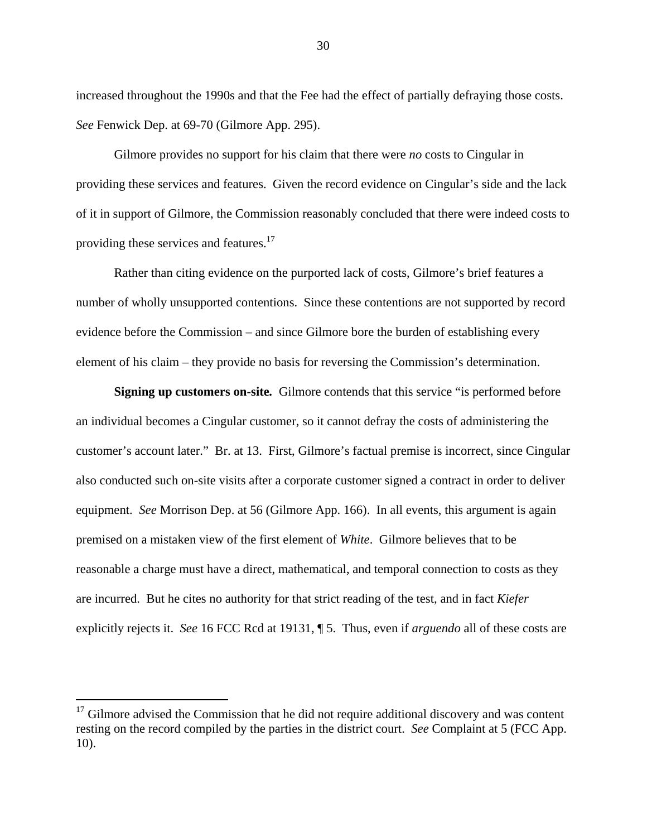increased throughout the 1990s and that the Fee had the effect of partially defraying those costs. *See* Fenwick Dep. at 69-70 (Gilmore App. 295).

Gilmore provides no support for his claim that there were *no* costs to Cingular in providing these services and features. Given the record evidence on Cingular's side and the lack of it in support of Gilmore, the Commission reasonably concluded that there were indeed costs to providing these services and features.<sup>17</sup>

Rather than citing evidence on the purported lack of costs, Gilmore's brief features a number of wholly unsupported contentions. Since these contentions are not supported by record evidence before the Commission – and since Gilmore bore the burden of establishing every element of his claim – they provide no basis for reversing the Commission's determination.

**Signing up customers on-site***.* Gilmore contends that this service "is performed before an individual becomes a Cingular customer, so it cannot defray the costs of administering the customer's account later." Br. at 13. First, Gilmore's factual premise is incorrect, since Cingular also conducted such on-site visits after a corporate customer signed a contract in order to deliver equipment. *See* Morrison Dep. at 56 (Gilmore App. 166). In all events, this argument is again premised on a mistaken view of the first element of *White*. Gilmore believes that to be reasonable a charge must have a direct, mathematical, and temporal connection to costs as they are incurred. But he cites no authority for that strict reading of the test, and in fact *Kiefer* explicitly rejects it. *See* 16 FCC Rcd at 19131, ¶ 5. Thus, even if *arguendo* all of these costs are

 $17$  Gilmore advised the Commission that he did not require additional discovery and was content resting on the record compiled by the parties in the district court. *See* Complaint at 5 (FCC App. 10).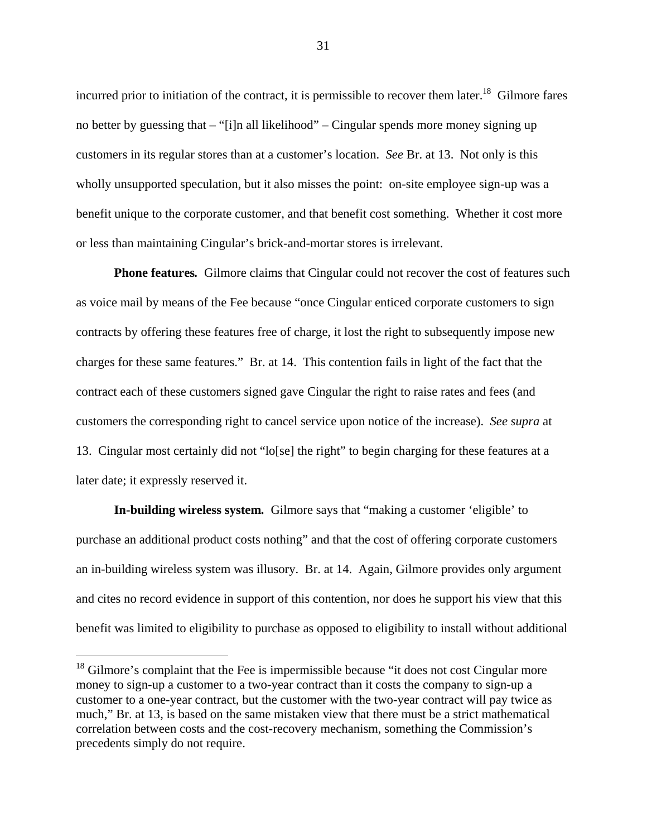incurred prior to initiation of the contract, it is permissible to recover them later.<sup>18</sup> Gilmore fares no better by guessing that – "[i]n all likelihood" – Cingular spends more money signing up customers in its regular stores than at a customer's location. *See* Br. at 13. Not only is this wholly unsupported speculation, but it also misses the point: on-site employee sign-up was a benefit unique to the corporate customer, and that benefit cost something. Whether it cost more or less than maintaining Cingular's brick-and-mortar stores is irrelevant.

**Phone features***.* Gilmore claims that Cingular could not recover the cost of features such as voice mail by means of the Fee because "once Cingular enticed corporate customers to sign contracts by offering these features free of charge, it lost the right to subsequently impose new charges for these same features." Br. at 14. This contention fails in light of the fact that the contract each of these customers signed gave Cingular the right to raise rates and fees (and customers the corresponding right to cancel service upon notice of the increase). *See supra* at 13. Cingular most certainly did not "lo[se] the right" to begin charging for these features at a later date; it expressly reserved it.

**In-building wireless system***.* Gilmore says that "making a customer 'eligible' to purchase an additional product costs nothing" and that the cost of offering corporate customers an in-building wireless system was illusory. Br. at 14. Again, Gilmore provides only argument and cites no record evidence in support of this contention, nor does he support his view that this benefit was limited to eligibility to purchase as opposed to eligibility to install without additional

 $18$  Gilmore's complaint that the Fee is impermissible because "it does not cost Cingular more money to sign-up a customer to a two-year contract than it costs the company to sign-up a customer to a one-year contract, but the customer with the two-year contract will pay twice as much," Br. at 13, is based on the same mistaken view that there must be a strict mathematical correlation between costs and the cost-recovery mechanism, something the Commission's precedents simply do not require.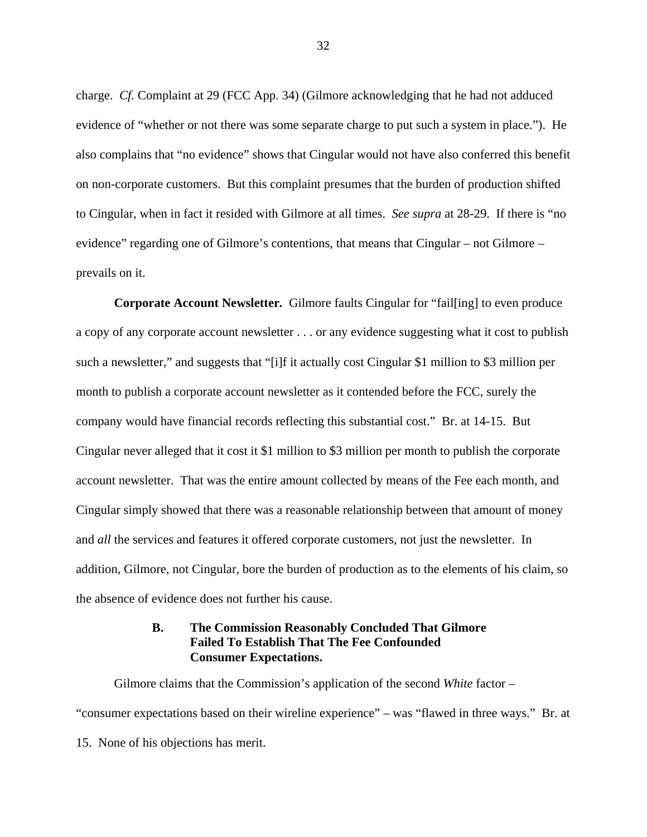charge. *Cf.* Complaint at 29 (FCC App. 34) (Gilmore acknowledging that he had not adduced evidence of "whether or not there was some separate charge to put such a system in place."). He also complains that "no evidence" shows that Cingular would not have also conferred this benefit on non-corporate customers. But this complaint presumes that the burden of production shifted to Cingular, when in fact it resided with Gilmore at all times. *See supra* at 28-29. If there is "no evidence" regarding one of Gilmore's contentions, that means that Cingular – not Gilmore – prevails on it.

**Corporate Account Newsletter***.* Gilmore faults Cingular for "fail[ing] to even produce a copy of any corporate account newsletter . . . or any evidence suggesting what it cost to publish such a newsletter," and suggests that "[i]f it actually cost Cingular \$1 million to \$3 million per month to publish a corporate account newsletter as it contended before the FCC, surely the company would have financial records reflecting this substantial cost." Br. at 14-15. But Cingular never alleged that it cost it \$1 million to \$3 million per month to publish the corporate account newsletter. That was the entire amount collected by means of the Fee each month, and Cingular simply showed that there was a reasonable relationship between that amount of money and *all* the services and features it offered corporate customers, not just the newsletter. In addition, Gilmore, not Cingular, bore the burden of production as to the elements of his claim, so the absence of evidence does not further his cause.

## **B. The Commission Reasonably Concluded That Gilmore Failed To Establish That The Fee Confounded Consumer Expectations.**

Gilmore claims that the Commission's application of the second *White* factor – "consumer expectations based on their wireline experience" – was "flawed in three ways." Br. at 15. None of his objections has merit.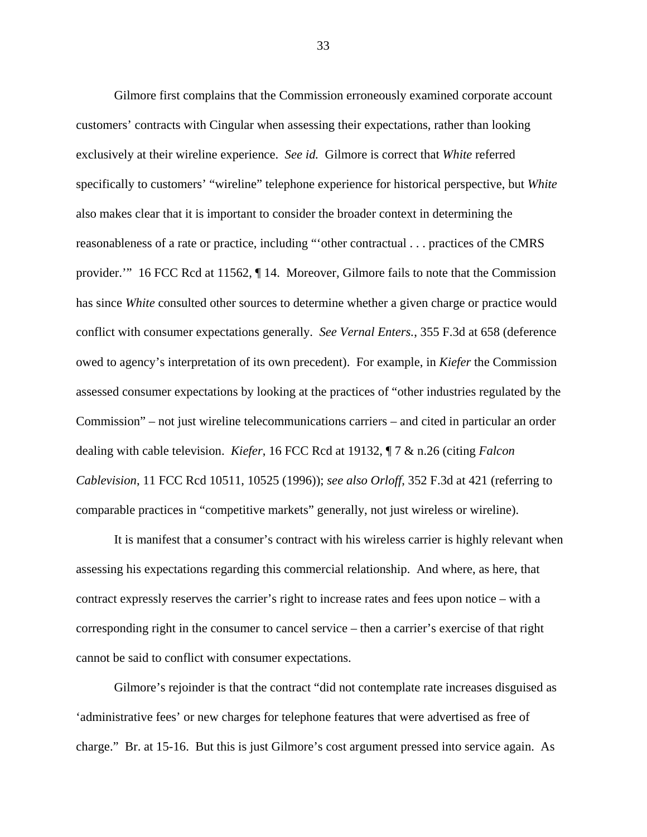Gilmore first complains that the Commission erroneously examined corporate account customers' contracts with Cingular when assessing their expectations, rather than looking exclusively at their wireline experience. *See id.* Gilmore is correct that *White* referred specifically to customers' "wireline" telephone experience for historical perspective, but *White* also makes clear that it is important to consider the broader context in determining the reasonableness of a rate or practice, including "'other contractual . . . practices of the CMRS provider.'" 16 FCC Rcd at 11562, ¶ 14. Moreover, Gilmore fails to note that the Commission has since *White* consulted other sources to determine whether a given charge or practice would conflict with consumer expectations generally. *See Vernal Enters.*, 355 F.3d at 658 (deference owed to agency's interpretation of its own precedent). For example, in *Kiefer* the Commission assessed consumer expectations by looking at the practices of "other industries regulated by the Commission" – not just wireline telecommunications carriers – and cited in particular an order dealing with cable television. *Kiefer*, 16 FCC Rcd at 19132, ¶ 7 & n.26 (citing *Falcon Cablevision*, 11 FCC Rcd 10511, 10525 (1996)); *see also Orloff*, 352 F.3d at 421 (referring to comparable practices in "competitive markets" generally, not just wireless or wireline).

It is manifest that a consumer's contract with his wireless carrier is highly relevant when assessing his expectations regarding this commercial relationship. And where, as here, that contract expressly reserves the carrier's right to increase rates and fees upon notice – with a corresponding right in the consumer to cancel service – then a carrier's exercise of that right cannot be said to conflict with consumer expectations.

Gilmore's rejoinder is that the contract "did not contemplate rate increases disguised as 'administrative fees' or new charges for telephone features that were advertised as free of charge." Br. at 15-16. But this is just Gilmore's cost argument pressed into service again. As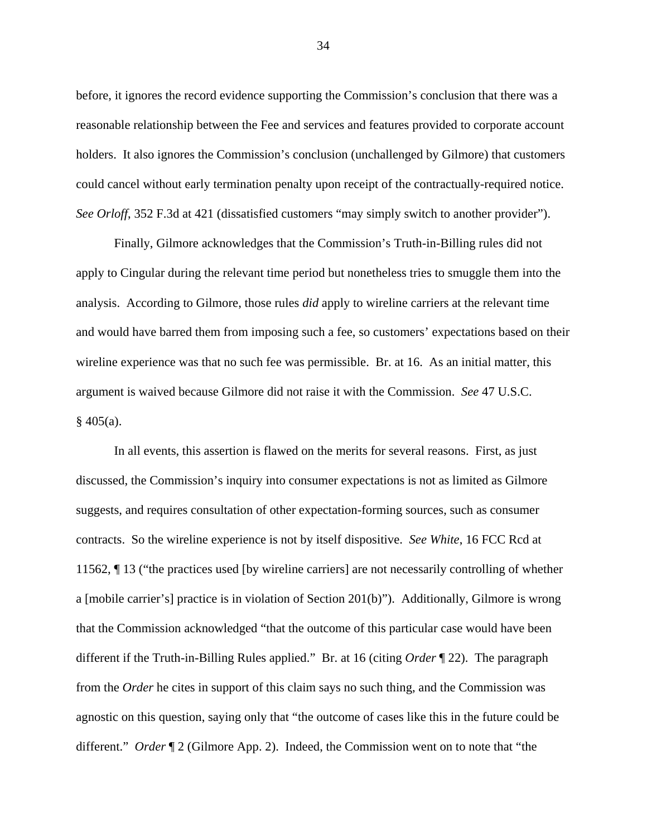before, it ignores the record evidence supporting the Commission's conclusion that there was a reasonable relationship between the Fee and services and features provided to corporate account holders. It also ignores the Commission's conclusion (unchallenged by Gilmore) that customers could cancel without early termination penalty upon receipt of the contractually-required notice. *See Orloff*, 352 F.3d at 421 (dissatisfied customers "may simply switch to another provider").

Finally, Gilmore acknowledges that the Commission's Truth-in-Billing rules did not apply to Cingular during the relevant time period but nonetheless tries to smuggle them into the analysis. According to Gilmore, those rules *did* apply to wireline carriers at the relevant time and would have barred them from imposing such a fee, so customers' expectations based on their wireline experience was that no such fee was permissible. Br. at 16. As an initial matter, this argument is waived because Gilmore did not raise it with the Commission. *See* 47 U.S.C.  $§$  405(a).

In all events, this assertion is flawed on the merits for several reasons. First, as just discussed, the Commission's inquiry into consumer expectations is not as limited as Gilmore suggests, and requires consultation of other expectation-forming sources, such as consumer contracts. So the wireline experience is not by itself dispositive. *See White*, 16 FCC Rcd at 11562, ¶ 13 ("the practices used [by wireline carriers] are not necessarily controlling of whether a [mobile carrier's] practice is in violation of Section 201(b)"). Additionally, Gilmore is wrong that the Commission acknowledged "that the outcome of this particular case would have been different if the Truth-in-Billing Rules applied." Br. at 16 (citing *Order* ¶ 22). The paragraph from the *Order* he cites in support of this claim says no such thing, and the Commission was agnostic on this question, saying only that "the outcome of cases like this in the future could be different." *Order* ¶ 2 (Gilmore App. 2). Indeed, the Commission went on to note that "the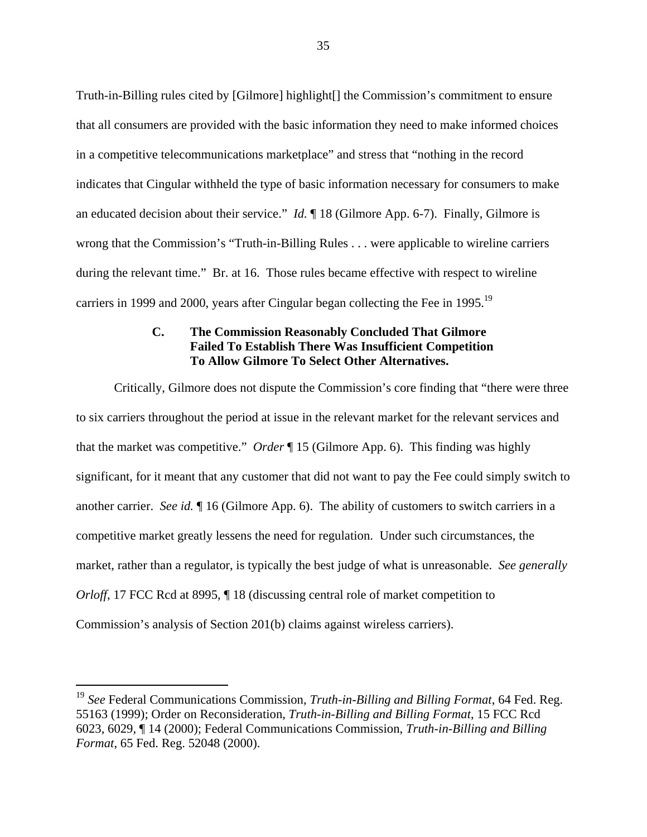Truth-in-Billing rules cited by [Gilmore] highlight[] the Commission's commitment to ensure that all consumers are provided with the basic information they need to make informed choices in a competitive telecommunications marketplace" and stress that "nothing in the record indicates that Cingular withheld the type of basic information necessary for consumers to make an educated decision about their service." *Id.* ¶ 18 (Gilmore App. 6-7). Finally, Gilmore is wrong that the Commission's "Truth-in-Billing Rules . . . were applicable to wireline carriers during the relevant time." Br. at 16. Those rules became effective with respect to wireline carriers in 1999 and 2000, years after Cingular began collecting the Fee in 1995.<sup>19</sup>

## **C. The Commission Reasonably Concluded That Gilmore Failed To Establish There Was Insufficient Competition To Allow Gilmore To Select Other Alternatives.**

Critically, Gilmore does not dispute the Commission's core finding that "there were three to six carriers throughout the period at issue in the relevant market for the relevant services and that the market was competitive." *Order* ¶ 15 (Gilmore App. 6). This finding was highly significant, for it meant that any customer that did not want to pay the Fee could simply switch to another carrier. *See id.* ¶ 16 (Gilmore App. 6). The ability of customers to switch carriers in a competitive market greatly lessens the need for regulation. Under such circumstances, the market, rather than a regulator, is typically the best judge of what is unreasonable. *See generally Orloff*, 17 FCC Rcd at 8995,  $\P$  18 (discussing central role of market competition to Commission's analysis of Section 201(b) claims against wireless carriers).

<sup>19</sup> *See* Federal Communications Commission, *Truth-in-Billing and Billing Format*, 64 Fed. Reg. 55163 (1999); Order on Reconsideration, *Truth-in-Billing and Billing Format*, 15 FCC Rcd 6023, 6029, ¶ 14 (2000); Federal Communications Commission, *Truth-in-Billing and Billing Format*, 65 Fed. Reg. 52048 (2000).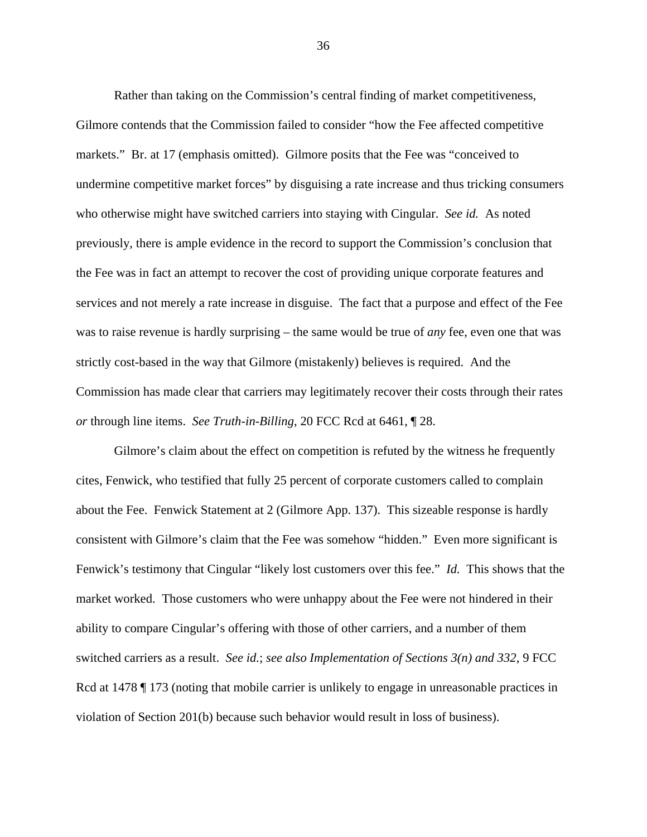Rather than taking on the Commission's central finding of market competitiveness, Gilmore contends that the Commission failed to consider "how the Fee affected competitive markets." Br. at 17 (emphasis omitted). Gilmore posits that the Fee was "conceived to undermine competitive market forces" by disguising a rate increase and thus tricking consumers who otherwise might have switched carriers into staying with Cingular. *See id.* As noted previously, there is ample evidence in the record to support the Commission's conclusion that the Fee was in fact an attempt to recover the cost of providing unique corporate features and services and not merely a rate increase in disguise. The fact that a purpose and effect of the Fee was to raise revenue is hardly surprising – the same would be true of *any* fee, even one that was strictly cost-based in the way that Gilmore (mistakenly) believes is required. And the Commission has made clear that carriers may legitimately recover their costs through their rates *or* through line items. *See Truth-in-Billing*, 20 FCC Rcd at 6461, ¶ 28.

Gilmore's claim about the effect on competition is refuted by the witness he frequently cites, Fenwick, who testified that fully 25 percent of corporate customers called to complain about the Fee. Fenwick Statement at 2 (Gilmore App. 137). This sizeable response is hardly consistent with Gilmore's claim that the Fee was somehow "hidden." Even more significant is Fenwick's testimony that Cingular "likely lost customers over this fee." *Id.* This shows that the market worked. Those customers who were unhappy about the Fee were not hindered in their ability to compare Cingular's offering with those of other carriers, and a number of them switched carriers as a result. *See id.*; *see also Implementation of Sections 3(n) and 332*, 9 FCC Rcd at 1478  $\parallel$  173 (noting that mobile carrier is unlikely to engage in unreasonable practices in violation of Section 201(b) because such behavior would result in loss of business).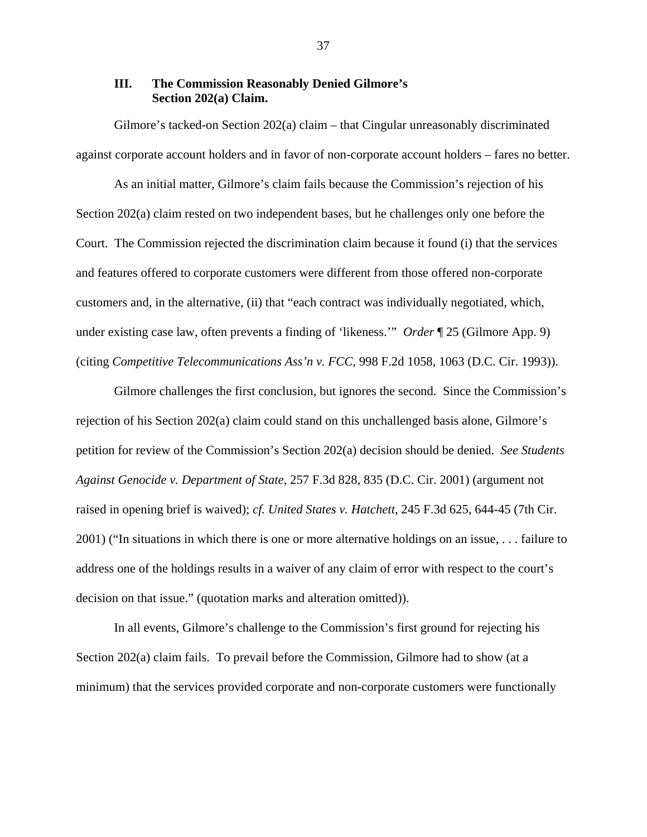#### **III. The Commission Reasonably Denied Gilmore's Section 202(a) Claim.**

Gilmore's tacked-on Section 202(a) claim – that Cingular unreasonably discriminated against corporate account holders and in favor of non-corporate account holders – fares no better.

As an initial matter, Gilmore's claim fails because the Commission's rejection of his Section 202(a) claim rested on two independent bases, but he challenges only one before the Court. The Commission rejected the discrimination claim because it found (i) that the services and features offered to corporate customers were different from those offered non-corporate customers and, in the alternative, (ii) that "each contract was individually negotiated, which, under existing case law, often prevents a finding of 'likeness.'" *Order* ¶ 25 (Gilmore App. 9) (citing *Competitive Telecommunications Ass'n v. FCC*, 998 F.2d 1058, 1063 (D.C. Cir. 1993)).

Gilmore challenges the first conclusion, but ignores the second. Since the Commission's rejection of his Section 202(a) claim could stand on this unchallenged basis alone, Gilmore's petition for review of the Commission's Section 202(a) decision should be denied. *See Students Against Genocide v. Department of State*, 257 F.3d 828, 835 (D.C. Cir. 2001) (argument not raised in opening brief is waived); *cf. United States v. Hatchett*, 245 F.3d 625, 644-45 (7th Cir. 2001) ("In situations in which there is one or more alternative holdings on an issue, . . . failure to address one of the holdings results in a waiver of any claim of error with respect to the court's decision on that issue." (quotation marks and alteration omitted)).

In all events, Gilmore's challenge to the Commission's first ground for rejecting his Section 202(a) claim fails. To prevail before the Commission, Gilmore had to show (at a minimum) that the services provided corporate and non-corporate customers were functionally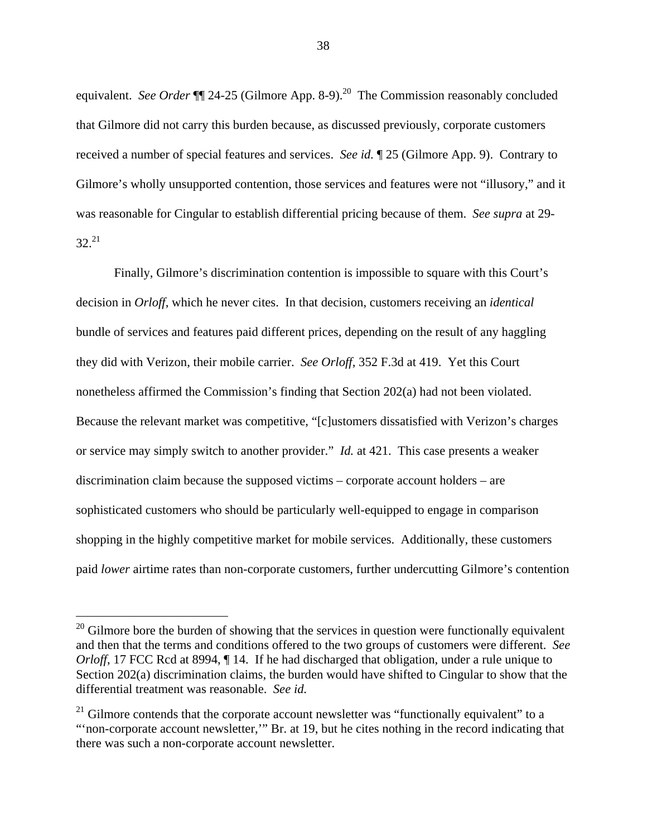equivalent. *See Order* **[14** 24-25 (Gilmore App. 8-9).<sup>20</sup> The Commission reasonably concluded that Gilmore did not carry this burden because, as discussed previously, corporate customers received a number of special features and services. *See id.* ¶ 25 (Gilmore App. 9). Contrary to Gilmore's wholly unsupported contention, those services and features were not "illusory," and it was reasonable for Cingular to establish differential pricing because of them. *See supra* at 29-  $32^{21}$ 

Finally, Gilmore's discrimination contention is impossible to square with this Court's decision in *Orloff*, which he never cites. In that decision, customers receiving an *identical* bundle of services and features paid different prices, depending on the result of any haggling they did with Verizon, their mobile carrier. *See Orloff*, 352 F.3d at 419. Yet this Court nonetheless affirmed the Commission's finding that Section 202(a) had not been violated. Because the relevant market was competitive, "[c]ustomers dissatisfied with Verizon's charges or service may simply switch to another provider." *Id.* at 421. This case presents a weaker discrimination claim because the supposed victims – corporate account holders – are sophisticated customers who should be particularly well-equipped to engage in comparison shopping in the highly competitive market for mobile services. Additionally, these customers paid *lower* airtime rates than non-corporate customers, further undercutting Gilmore's contention

l

 $20$  Gilmore bore the burden of showing that the services in question were functionally equivalent and then that the terms and conditions offered to the two groups of customers were different. *See Orloff*, 17 FCC Rcd at 8994,  $\P$  14. If he had discharged that obligation, under a rule unique to Section 202(a) discrimination claims, the burden would have shifted to Cingular to show that the differential treatment was reasonable. *See id.*

 $21$  Gilmore contends that the corporate account newsletter was "functionally equivalent" to a "'non-corporate account newsletter,'" Br. at 19, but he cites nothing in the record indicating that there was such a non-corporate account newsletter.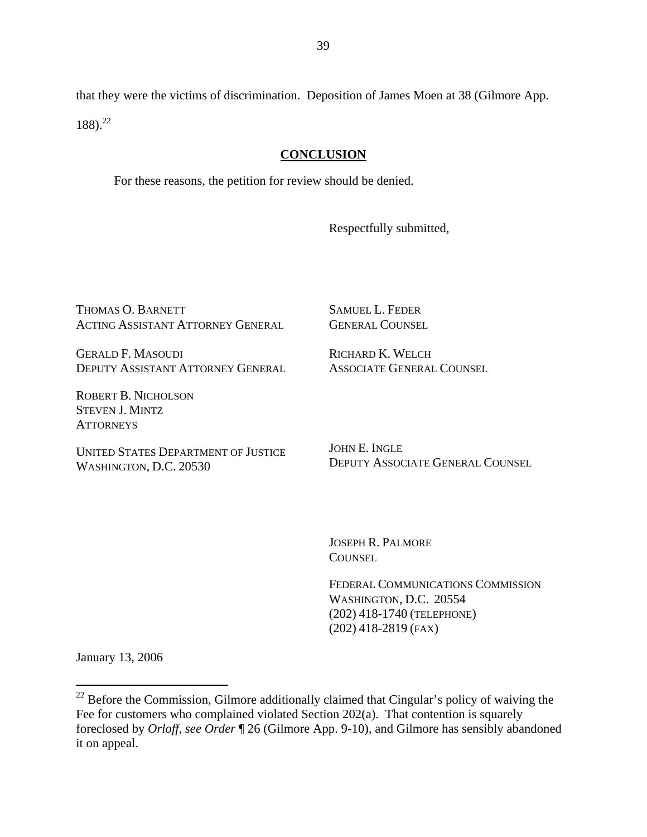that they were the victims of discrimination. Deposition of James Moen at 38 (Gilmore App.  $188$ ).<sup>22</sup>

#### **CONCLUSION**

For these reasons, the petition for review should be denied.

Respectfully submitted,

THOMAS O. BARNETT ACTING ASSISTANT ATTORNEY GENERAL

GERALD F. MASOUDI DEPUTY ASSISTANT ATTORNEY GENERAL

ROBERT B. NICHOLSON STEVEN J. MINTZ **ATTORNEYS** 

UNITED STATES DEPARTMENT OF JUSTICE WASHINGTON, D.C. 20530

SAMUEL L. FEDER GENERAL COUNSEL

RICHARD K. WELCH ASSOCIATE GENERAL COUNSEL

JOHN E. INGLE DEPUTY ASSOCIATE GENERAL COUNSEL

JOSEPH R. PALMORE **COUNSEL** 

FEDERAL COMMUNICATIONS COMMISSION WASHINGTON, D.C. 20554 (202) 418-1740 (TELEPHONE) (202) 418-2819 (FAX)

January 13, 2006

-

 $^{22}$  Before the Commission, Gilmore additionally claimed that Cingular's policy of waiving the Fee for customers who complained violated Section 202(a). That contention is squarely foreclosed by *Orloff*, *see Order* ¶ 26 (Gilmore App. 9-10), and Gilmore has sensibly abandoned it on appeal.